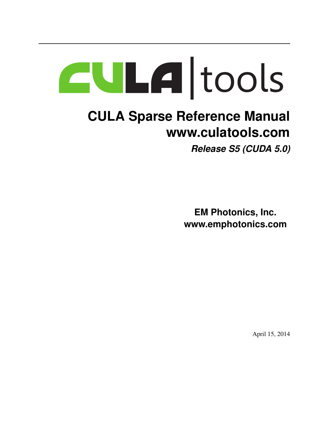# |tools

# **CULA Sparse Reference Manual www.culatools.com**

*Release S5 (CUDA 5.0)*

**EM Photonics, Inc. www.emphotonics.com**

April 15, 2014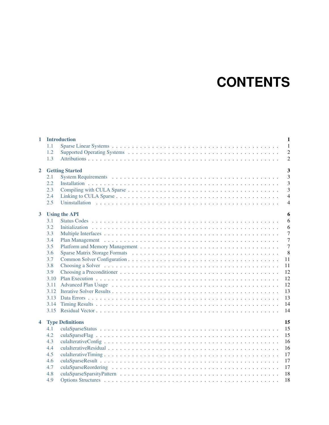# **CONTENTS**

| $\mathbf{1}$   | 1.1<br>1.2<br>1.3 | $\mathbf{1}$<br><b>Introduction</b><br>$\mathbf{1}$<br>$\overline{2}$<br>$\overline{2}$ |
|----------------|-------------------|-----------------------------------------------------------------------------------------|
|                |                   |                                                                                         |
| $\overline{2}$ |                   | $\overline{\mathbf{3}}$<br><b>Getting Started</b>                                       |
|                | 2.1               | 3                                                                                       |
|                | 2.2               | $\overline{3}$                                                                          |
|                | 2.3               | 3                                                                                       |
|                | 2.4               | $\overline{4}$                                                                          |
|                | 2.5               | $\overline{4}$                                                                          |
| $\mathbf{3}$   |                   | 6<br><b>Using the API</b>                                                               |
|                | 3.1               | 6                                                                                       |
|                | 3.2               | 6                                                                                       |
|                | 3.3               | $\overline{7}$                                                                          |
|                | 3.4               | $\overline{7}$                                                                          |
|                | 3.5               | $\overline{7}$                                                                          |
|                | 3.6               | 8                                                                                       |
|                | 3.7               | 11                                                                                      |
|                | 3.8               | 11                                                                                      |
|                | 3.9               | 12                                                                                      |
|                | 3.10              | 12                                                                                      |
|                | 3.11              | 12                                                                                      |
|                | 3.12              | 13                                                                                      |
|                | 3.13              | 13                                                                                      |
|                | 3.14              | 14                                                                                      |
|                | 3.15              | 14                                                                                      |
|                |                   |                                                                                         |
| 4              |                   | <b>Type Definitions</b><br>15                                                           |
|                | 4.1               | 15                                                                                      |
|                | 4.2               | 15                                                                                      |
|                | 4.3               | 16                                                                                      |
|                | 4.4               | 16                                                                                      |
|                | 4.5               | 17                                                                                      |
|                | 4.6               | 17                                                                                      |
|                | 4.7               | 17                                                                                      |
|                | 4.8               | 18                                                                                      |
|                | 4.9               | 18                                                                                      |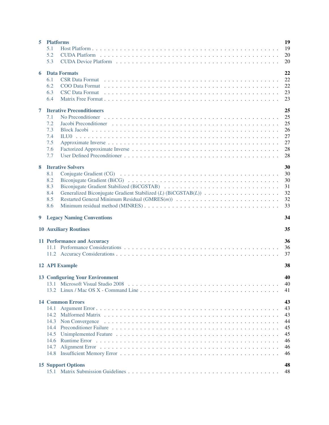|   | 5.1                                                                                                                                                                                                                                   |          |
|---|---------------------------------------------------------------------------------------------------------------------------------------------------------------------------------------------------------------------------------------|----------|
|   |                                                                                                                                                                                                                                       | 19       |
|   | 5.2                                                                                                                                                                                                                                   | 20       |
|   | 5.3                                                                                                                                                                                                                                   | 20       |
| 6 | <b>Data Formats</b>                                                                                                                                                                                                                   | 22       |
|   | 6.1<br><b>CSR Data Format</b>                                                                                                                                                                                                         | 22       |
|   | 6.2                                                                                                                                                                                                                                   | 22       |
|   | 6.3<br>CSC Data Format response to the contract of the contract of the contract of the contract of the contract of the contract of the contract of the contract of the contract of the contract of the contract of the contract of th | 23       |
|   | 6.4                                                                                                                                                                                                                                   | 23       |
| 7 | <b>Iterative Preconditioners</b>                                                                                                                                                                                                      | 25       |
|   | 7.1                                                                                                                                                                                                                                   | 25       |
|   | 7.2                                                                                                                                                                                                                                   | 25       |
|   | 7.3                                                                                                                                                                                                                                   | 26       |
|   | 7.4                                                                                                                                                                                                                                   | 27       |
|   | 7.5                                                                                                                                                                                                                                   | 27       |
|   | 7.6                                                                                                                                                                                                                                   | 28       |
|   | 7.7                                                                                                                                                                                                                                   | 28       |
|   |                                                                                                                                                                                                                                       |          |
| 8 | <b>Iterative Solvers</b>                                                                                                                                                                                                              | 30       |
|   | 8.1                                                                                                                                                                                                                                   | 30       |
|   | 8.2                                                                                                                                                                                                                                   | 30<br>31 |
|   | 8.3<br>8.4                                                                                                                                                                                                                            | 32       |
|   | 8.5                                                                                                                                                                                                                                   | 32       |
|   | 8.6                                                                                                                                                                                                                                   | 33       |
|   |                                                                                                                                                                                                                                       |          |
| 9 | <b>Legacy Naming Conventions</b>                                                                                                                                                                                                      | 34       |
|   | <b>10 Auxiliary Routines</b>                                                                                                                                                                                                          | 35       |
|   | <b>11 Performance and Accuracy</b>                                                                                                                                                                                                    | 36       |
|   |                                                                                                                                                                                                                                       | 36       |
|   |                                                                                                                                                                                                                                       | 37       |
|   | <b>12 API Example</b>                                                                                                                                                                                                                 | 38       |
|   |                                                                                                                                                                                                                                       |          |
|   | <b>13 Configuring Your Environment</b>                                                                                                                                                                                                | 40       |
|   |                                                                                                                                                                                                                                       | 40       |
|   |                                                                                                                                                                                                                                       | 41       |
|   | <b>14 Common Errors</b>                                                                                                                                                                                                               | 43       |
|   | 14.1                                                                                                                                                                                                                                  | 43       |
|   | 14.2                                                                                                                                                                                                                                  | 43       |
|   | 14.3                                                                                                                                                                                                                                  | 44       |
|   | 14.4                                                                                                                                                                                                                                  | 45       |
|   | 14.5                                                                                                                                                                                                                                  | 45       |
|   | 14.6                                                                                                                                                                                                                                  | 46       |
|   | 14.7                                                                                                                                                                                                                                  | 46       |
|   | 14.8                                                                                                                                                                                                                                  | 46       |
|   |                                                                                                                                                                                                                                       |          |
|   | <b>15 Support Options</b>                                                                                                                                                                                                             | 48       |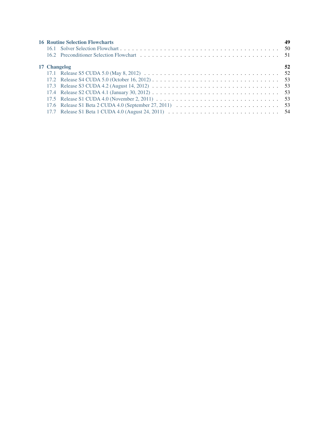|              | <b>16 Routine Selection Flowcharts</b>                                                                                       | 49 |
|--------------|------------------------------------------------------------------------------------------------------------------------------|----|
|              |                                                                                                                              |    |
|              |                                                                                                                              |    |
| 17 Changelog |                                                                                                                              | 52 |
|              |                                                                                                                              |    |
|              |                                                                                                                              |    |
|              |                                                                                                                              |    |
|              |                                                                                                                              |    |
|              |                                                                                                                              |    |
|              | 17.6 Release S1 Beta 2 CUDA 4.0 (September 27, 2011) $\ldots \ldots \ldots \ldots \ldots \ldots \ldots \ldots \ldots \ldots$ |    |
|              |                                                                                                                              |    |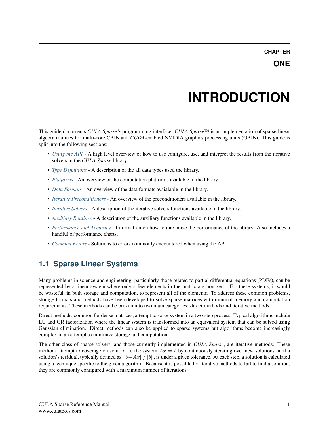# **INTRODUCTION**

<span id="page-5-0"></span>This guide documents *CULA Sparse's* programming interface. *CULA Sparse*™ is an implementation of sparse linear algebra routines for multi-core CPUs and *CUDA*-enabled NVIDIA graphics processing units (GPUs). This guide is split into the following sections:

- *[Using the API](#page-10-0)* A high level overview of how to use configure, use, and interpret the results from the iterative solvers in the *CULA Sparse* library.
- *[Type Definitions](#page-19-0)* A description of the all data types used the library.
- *[Platforms](#page-23-0)* An overview of the computation platforms available in the library.
- *[Data Formats](#page-26-0)* An overview of the data formats avaialable in the library.
- *[Iterative Preconditioners](#page-29-0)* An overview of the preconditioners available in the library.
- *[Iterative Solvers](#page-34-0)* A description of the iterative solvers functions available in the library.
- *[Auxiliary Routines](#page-39-0)* A description of the auxiliary functions available in the library.
- *[Performance and Accuracy](#page-40-0)* Information on how to maximize the performance of the library. Also includes a handful of performance charts.
- *[Common Errors](#page-47-0)* Solutions to errors commonly encountered when using the API.

# <span id="page-5-1"></span>**1.1 Sparse Linear Systems**

Many problems in science and engineering, particularly those related to partial differential equations (PDEs), can be represented by a linear system where only a few elements in the matrix are non-zero. For these systems, it would be wasteful, in both storage and computation, to represent all of the elements. To address these common problems, storage formats and methods have been developed to solve sparse matrices with minimal memory and computation requirements. These methods can be broken into two main categories: direct methods and iterative methods.

Direct methods, common for dense matrices, attempt to solve system in a two-step process. Typical algorithms include LU and QR factorization where the linear system is transformed into an equivalent system that can be solved using Gaussian elimination. Direct methods can also be applied to sparse systems but algorithms become increasingly complex in an attempt to minimize storage and computation.

The other class of sparse solvers, and those currently implemented in *CULA Sparse*, are iterative methods. These methods attempt to coverage on solution to the system  $Ax = b$  by continuously iterating over new solutions until a solution's residual, typically defined as  $||b-Ax||/||b||$ , is under a given tolerance. At each step, a solution is calculated using a technique specific to the given algorithm. Because it is possible for iterative methods to fail to find a solution, they are commonly configured with a maximum number of iterations.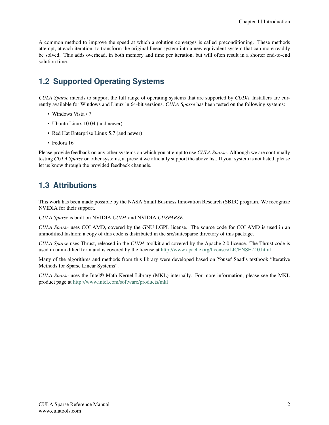A common method to improve the speed at which a solution converges is called preconditioning. These methods attempt, at each iteration, to transform the original linear system into a new equivalent system that can more readily be solved. This adds overhead, in both memory and time per iteration, but will often result in a shorter end-to-end solution time.

# <span id="page-6-0"></span>**1.2 Supported Operating Systems**

*CULA Sparse* intends to support the full range of operating systems that are supported by *CUDA*. Installers are currently available for Windows and Linux in 64-bit versions. *CULA Sparse* has been tested on the following systems:

- Windows Vista / 7
- Ubuntu Linux 10.04 (and newer)
- Red Hat Enterprise Linux 5.7 (and newer)
- Fedora 16

Please provide feedback on any other systems on which you attempt to use *CULA Sparse*. Although we are continually testing *CULA Sparse* on other systems, at present we officially support the above list. If your system is not listed, please let us know through the provided feedback channels.

# <span id="page-6-1"></span>**1.3 Attributions**

This work has been made possible by the NASA Small Business Innovation Research (SBIR) program. We recognize NVIDIA for their support.

*CULA Sparse* is built on NVIDIA *CUDA* and NVIDIA *CUSPARSE*.

*CULA Sparse* uses COLAMD, covered by the GNU LGPL license. The source code for COLAMD is used in an unmodified fashion; a copy of this code is distributed in the src/suitesparse directory of this package.

*CULA Sparse* uses Thrust, released in the *CUDA* toolkit and covered by the Apache 2.0 license. The Thrust code is used in unmodified form and is covered by the license at <http://www.apache.org/licenses/LICENSE-2.0.html>

Many of the algorithms and methods from this library were developed based on Yousef Saad's textbook "Iterative Methods for Sparse Linear Systems".

*CULA Sparse* uses the Intel® Math Kernel Library (MKL) internally. For more information, please see the MKL product page at <http://www.intel.com/software/products/mkl>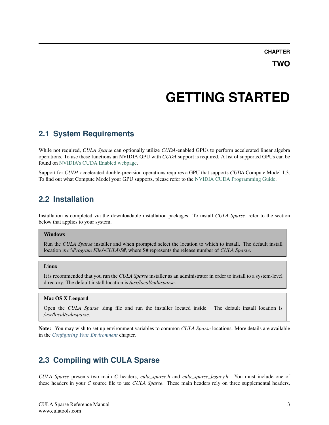**CHAPTER**

**TWO**

# **GETTING STARTED**

# <span id="page-7-1"></span><span id="page-7-0"></span>**2.1 System Requirements**

While not required, *CULA Sparse* can optionally utilize *CUDA*-enabled GPUs to perform accelerated linear algebra operations. To use these functions an NVIDIA GPU with *CUDA* support is required. A list of supported GPUs can be found on [NVIDIA's CUDA Enabled webpage.](http://www.nvidia.com/object/cuda_learn_products.html)

Support for *CUDA* accelerated double-precision operations requires a GPU that supports *CUDA* Compute Model 1.3. To find out what Compute Model your GPU supports, please refer to the [NVIDIA CUDA Programming Guide.](http://developer.download.nvidia.com/compute/cuda/2_21/toolkit/docs/NVIDIA_CUDA_Programming_Guide_2.2.1.pdf)

# <span id="page-7-2"></span>**2.2 Installation**

Installation is completed via the downloadable installation packages. To install *CULA Sparse*, refer to the section below that applies to your system.

### Windows

Run the *CULA Sparse* installer and when prompted select the location to which to install. The default install location is *c:\Program Files\CULA\S#*, where S# represents the release number of *CULA Sparse*.

#### Linux

It is recommended that you run the *CULA Sparse* installer as an administrator in order to install to a system-level directory. The default install location is */usr/local/culasparse*.

### Mac OS X Leopard

Open the *CULA Sparse* .dmg file and run the installer located inside. The default install location is */usr/local/culasparse*.

Note: You may wish to set up environment variables to common *CULA Sparse* locations. More details are available in the *[Configuring Your Environment](#page-44-0)* chapter.

# <span id="page-7-3"></span>**2.3 Compiling with CULA Sparse**

*CULA Sparse* presents two main *C* headers, *cula\_sparse.h* and *cula\_sparse\_legacy.h*. You must include one of these headers in your *C* source file to use *CULA Sparse*. These main headers rely on three supplemental headers,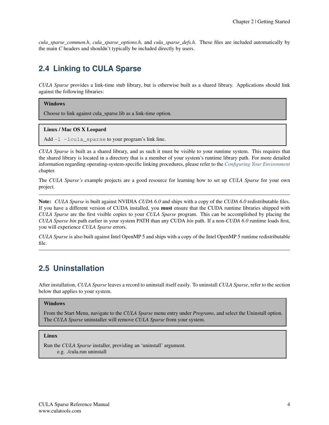*cula\_sparse\_common.h*, *cula\_sparse\_options.h*, and *cula\_sparse\_defs.h*. These files are included automatically by the main *C* headers and shouldn't typically be included directly by users.

# <span id="page-8-0"></span>**2.4 Linking to CULA Sparse**

*CULA Sparse* provides a link-time stub library, but is otherwise built as a shared library. Applications should link against the following libraries:

### Windows

Choose to link against cula\_sparse.lib as a link-time option.

### Linux / Mac OS X Leopard

Add -1 -lcula\_sparse to your program's link line.

*CULA Sparse* is built as a shared library, and as such it must be visible to your runtime system. This requires that the shared library is located in a directory that is a member of your system's runtime library path. For more detailed information regarding operating-system-specific linking procedures, please refer to the *[Configuring Your Environment](#page-44-0)* chapter.

The *CULA Sparse's* example projects are a good resource for learning how to set up *CULA Sparse* for your own project.

Note: *CULA Sparse* is built against NVIDIA *CUDA 6.0* and ships with a copy of the *CUDA 6.0* redistributable files. If you have a different version of CUDA installed, you must ensure that the CUDA runtime libraries shipped with *CULA Sparse* are the first visible copies to your *CULA Sparse* program. This can be accomplished by placing the *CULA Sparse bin* path earlier in your system PATH than any CUDA *bin* path. If a non-*CUDA 6.0* runtime loads first, you will experience *CULA Sparse* errors.

*CULA Sparse* is also built against Intel OpenMP 5 and ships with a copy of the Intel OpenMP 5 runtime redistributable file.

# <span id="page-8-1"></span>**2.5 Uninstallation**

After installation, *CULA Sparse* leaves a record to uninstall itself easily. To uninstall *CULA Sparse*, refer to the section below that applies to your system.

### Windows

From the Start Menu, navigate to the *CULA Sparse* menu entry under *Programs*, and select the Uninstall option. The *CULA Sparse* uninstaller will remove *CULA Sparse* from your system.

### Linux

Run the *CULA Sparse* installer, providing an 'uninstall' argument. e.g. ./cula.run uninstall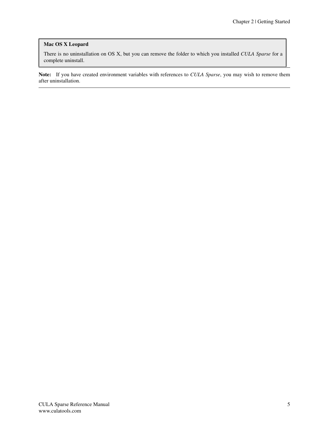### Mac OS X Leopard

There is no uninstallation on OS X, but you can remove the folder to which you installed *CULA Sparse* for a complete uninstall.

Note: If you have created environment variables with references to *CULA Sparse*, you may wish to remove them after uninstallation.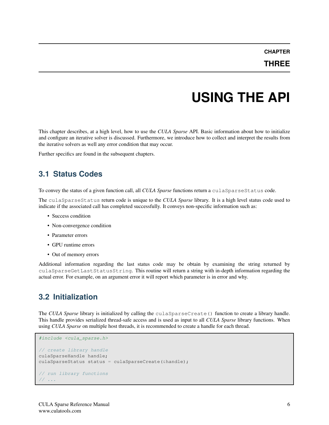# **USING THE API**

<span id="page-10-0"></span>This chapter describes, at a high level, how to use the *CULA Sparse* API. Basic information about how to initialize and configure an iterative solver is discussed. Furthermore, we introduce how to collect and interpret the results from the iterative solvers as well any error condition that may occur.

Further specifics are found in the subsequent chapters.

# <span id="page-10-1"></span>**3.1 Status Codes**

To convey the status of a given function call, all *CULA Sparse* functions return a culaSparseStatus code.

The culaSparseStatus return code is unique to the *CULA Sparse* library. It is a high level status code used to indicate if the associated call has completed successfully. It conveys non-specific information such as:

- Success condition
- Non-convergence condition
- Parameter errors
- GPU runtime errors
- Out of memory errors

Additional information regarding the last status code may be obtain by examining the string returned by culaSparseGetLastStatusString. This routine will return a string with in-depth information regarding the actual error. For example, on an argument error it will report which parameter is in error and why.

# <span id="page-10-2"></span>**3.2 Initialization**

The *CULA Sparse* library is initialized by calling the culaSparseCreate() function to create a library handle. This handle provides serialized thread-safe access and is used as input to all *CULA Sparse* library functions. When using *CULA Sparse* on multiple host threads, it is recommended to create a handle for each thread.

```
#include <cula_sparse.h>
// create library handle
culaSparseHandle handle;
culaSparseStatus status = culaSparseCreate(&handle);
// run library functions
// ...
```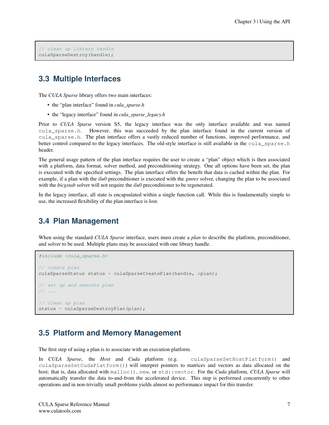// clean up library handle culaSparseDestroy(handle);

### <span id="page-11-0"></span>**3.3 Multiple Interfaces**

The *CULA Sparse* library offers two main interfaces:

- the "plan interface" found in *cula\_sparse.h*
- the "legacy interface" found in *cula\_sparse\_legacy.h*

Prior to *CULA Sparse* version S5, the legacy interface was the only interface available and was named cula\_sparse.h. However, this was succeeded by the plan interface found in the current version of cula\_sparse.h. The plan interface offers a vastly reduced number of functions, improved performance, and better control compared to the legacy interfaces. The old-style interface is still available in the cula\_sparse.h header.

The general usage pattern of the plan interface requires the user to create a "plan" object which is then associated with a platform, data format, solver method, and preconditioning strategy. One all options have been set, the plan is executed with the specified settings. The plan interface offers the benefit that data is cached within the plan. For example, if a plan with the *ilu0* preconditioner is executed with the *gmres* solver, changing the plan to be associated with the *bicgstab* solver will not require the *ilu0* preconditioner to be regenerated.

In the legacy interface, all state is encapsulated within a single function call. While this is fundamentally simple to use, the increased flexibility of the plan interface is lost.

### <span id="page-11-1"></span>**3.4 Plan Management**

When using the standard *CULA Sparse* interface, users must create a *plan* to describe the platform, preconditioner, and solver to be used. Multiple plans may be associated with one library handle.

```
#include <cula_sparse.h>
// create plan
culaSparseStatus status = culaSparseCreatePlan(handle, &plan);
// set up and execute plan
// ...
// clean up plan
status = culaSparseDestroyPlan(plan);
```
# <span id="page-11-2"></span>**3.5 Platform and Memory Management**

The first step of using a plan is to associate with an execution platform.

In *CULA Sparse*, the *Host* and *Cuda* platform (e.g. culaSparseSetHostPlatform() and culaSparseSetCudaPlatform()) will interpret pointers to matrices and vectors as data allocated on the host; that is, data allocated with malloc(), new, or std::vector. For the *Cuda* platform, *CULA Sparse* will automatically transfer the data to-and-from the accelerated device. This step is performed concurrently to other operations and in non-trivially small problems yields almost no performance impact for this transfer.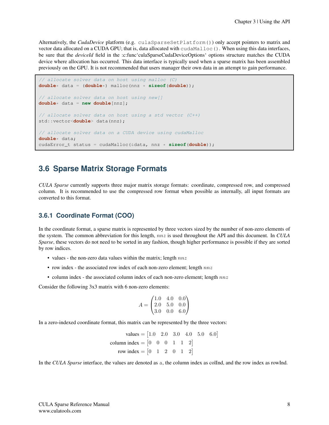Alternatively, the *CudaDevice* platform (e.g. culaSparseSetPlatform()) only accept pointers to matrix and vector data allocated on a CUDA GPU; that is, data allocated with cudaMalloc(). When using this data interfaces, be sure that the *deviceId* field in the :c:func'culaSparseCudaDeviceOptions' options structure matches the CUDA device where allocation has occurred. This data interface is typically used when a sparse matrix has been assembled previously on the GPU. It is not recommended that users manager their own data in an attempt to gain performance.

```
// allocate solver data on host using malloc (C)
double* data = (double*) malloc(nnz * sizeof(double));
// allocate solver data on host using new[]
double* data = new double[nnz];
// allocate solver data on host using a std vector (C++)
std::vector<double> data(nnz);
// allocate solver data on a CUDA device using cudaMalloc
double* data;
cudaError_t status = cudaMalloc(&data, nnz * sizeof(double));
```
### <span id="page-12-0"></span>**3.6 Sparse Matrix Storage Formats**

*CULA Sparse* currently supports three major matrix storage formats: coordinate, compressed row, and compressed column. It is recommended to use the compressed row format when possible as internally, all input formats are converted to this format.

### **3.6.1 Coordinate Format (COO)**

In the coordinate format, a sparse matrix is represented by three vectors sized by the number of non-zero elements of the system. The common abbreviation for this length, nnz is used throughout the API and this document. In *CULA Sparse*, these vectors do not need to be sorted in any fashion, though higher performance is possible if they are sorted by row indices.

- values the non-zero data values within the matrix; length  $nnz$
- row index the associated row index of each non-zero element; length  $nnz$
- column index the associated column index of each non-zero element; length  $nnz$

Consider the following 3x3 matrix with 6 non-zero elements:

$$
A = \begin{pmatrix} 1.0 & 4.0 & 0.0 \\ 2.0 & 5.0 & 0.0 \\ 3.0 & 0.0 & 6.0 \end{pmatrix}
$$

In a zero-indexed coordinate format, this matrix can be represented by the three vectors:

values = 
$$
\begin{bmatrix} 1.0 & 2.0 & 3.0 & 4.0 & 5.0 & 6.0 \end{bmatrix}
$$
  
column index =  $\begin{bmatrix} 0 & 0 & 0 & 1 & 1 & 2 \end{bmatrix}$   
row index =  $\begin{bmatrix} 0 & 1 & 2 & 0 & 1 & 2 \end{bmatrix}$ 

In the *CULA Sparse* interface, the values are denoted as a, the column index as colInd, and the row index as rowInd.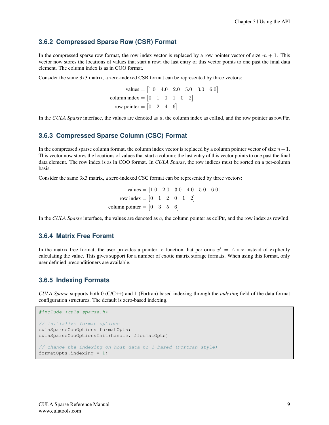### **3.6.2 Compressed Sparse Row (CSR) Format**

In the compressed sparse row format, the row index vector is replaced by a row pointer vector of size  $m + 1$ . This vector now stores the locations of values that start a row; the last entry of this vector points to one past the final data element. The column index is as in COO format.

Consider the same 3x3 matrix, a zero-indexed CSR format can be represented by three vectors:

values  $=$   $\begin{bmatrix} 1.0 & 4.0 & 2.0 & 5.0 & 3.0 & 6.0 \end{bmatrix}$ column index =  $\begin{bmatrix} 0 & 1 & 0 & 1 & 0 & 2 \end{bmatrix}$ row pointer  $=$   $\begin{bmatrix} 0 & 2 & 4 & 6 \end{bmatrix}$ 

In the *CULA Sparse* interface, the values are denoted as a, the column index as colInd, and the row pointer as rowPtr.

### **3.6.3 Compressed Sparse Column (CSC) Format**

In the compressed sparse column format, the column index vector is replaced by a column pointer vector of size  $n+1$ . This vector now stores the locations of values that start a column; the last entry of this vector points to one past the final data element. The row index is as in COO format. In *CULA Sparse*, the row indices must be sorted on a per-column basis.

Consider the same 3x3 matrix, a zero-indexed CSC format can be represented by three vectors:

values  $=$   $\begin{bmatrix} 1.0 & 2.0 & 3.0 & 4.0 & 5.0 & 6.0 \end{bmatrix}$ row index =  $\begin{bmatrix} 0 & 1 & 2 & 0 & 1 & 2 \end{bmatrix}$ column pointer  $= \begin{bmatrix} 0 & 3 & 5 & 6 \end{bmatrix}$ 

In the *CULA Sparse* interface, the values are denoted as a, the column pointer as colPtr, and the row index as rowInd.

### **3.6.4 Matrix Free Foramt**

In the matrix free format, the user provides a pointer to function that performs  $x' = A * x$  instead of explicitly calculating the value. This gives support for a number of exotic matrix storage formats. When using this format, only user definied preconditioners are available.

### **3.6.5 Indexing Formats**

*CULA Sparse* supports both 0 (C/C++) and 1 (Fortran) based indexing through the *indexing* field of the data format configuration structures. The default is zero-based indexing.

```
#include <cula_sparse.h>
// initialize format options
culaSparseCooOptions formatOpts;
culaSparseCooOptionsInit(handle, &formatOpts)
// change the indexing on host data to 1-based (Fortran style)
formatOpts.indexing = 1;
```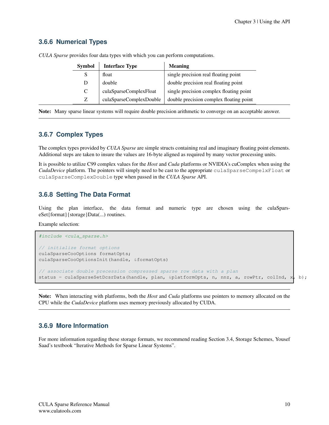### **3.6.6 Numerical Types**

| <b>Symbol</b> | <b>Interface Type</b>   | <b>Meaning</b>                          |
|---------------|-------------------------|-----------------------------------------|
| S             | float                   | single precision real floating point    |
| D             | double                  | double precision real floating point    |
| C             | culaSparseComplexFloat  | single precision complex floating point |
| Z             | culaSparseComplexDouble | double precision complex floating point |

*CULA Sparse* provides four data types with which you can perform computations.

Note: Many sparse linear systems will require double precision arithmetic to converge on an acceptable answer.

### **3.6.7 Complex Types**

The complex types provided by *CULA Sparse* are simple structs containing real and imaginary floating point elements. Additional steps are taken to insure the values are 16-byte aligned as required by many vector processing units.

It is possible to utilize C99 complex values for the *Host* and *Cuda* platforms or NVIDIA's cuComplex when using the *CudaDevice* platform. The pointers will simply need to be cast to the appropriate culaSparseCompelxFloat or culaSparseComplexDouble type when passed in the *CULA Sparse* API.

### **3.6.8 Setting The Data Format**

Using the plan interface, the data format and numeric type are chosen using the culaSparseSet{format}{storage}Data(...) routines.

Example selection:

```
#include <cula_sparse.h>
// initialize format options
culaSparseCooOptions formatOpts;
culaSparseCooOptionsInit(handle, &formatOpts)
// associate double precession compressed sparse row data with a plan
status = culaSparseSetDcsrData(handle, plan, &platformOpts, n, nnz, a, rowPtr, colInd, x, b);
```
Note: When interacting with platforms, both the *Host* and *Cuda* platforms use pointers to memory allocated on the CPU while the *CudaDevice* platform uses memory previously allocated by CUDA.

### **3.6.9 More Information**

For more information regarding these storage formats, we recommend reading Section 3.4, Storage Schemes, Yousef Saad's textbook "Iterative Methods for Sparse Linear Systems".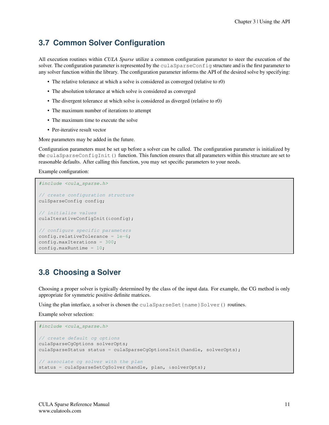### <span id="page-15-0"></span>**3.7 Common Solver Configuration**

All execution routines within *CULA Sparse* utilize a common configuration parameter to steer the execution of the solver. The configuration parameter is represented by the culaSparseConfig structure and is the first parameter to any solver function within the library. The configuration parameter informs the API of the desired solve by specifying:

- The relative tolerance at which a solve is considered as converged (relative to r0)
- The absolution tolerance at which solve is considered as converged
- The divergent tolerance at which solve is considered as diverged (relative to r0)
- The maximum number of iterations to attempt
- The maximum time to execute the solve
- Per-iterative result vector

More parameters may be added in the future.

Configuration parameters must be set up before a solver can be called. The configuration parameter is initialized by the culaSparseConfigInit() function. This function ensures that all parameters within this structure are set to reasonable defaults. After calling this function, you may set specific parameters to your needs.

Example configuration:

```
#include <cula_sparse.h>
// create configuration structure
culSparseConfig config;
// initialize values
culaIterativeConfigInit(&config);
// configure specific parameters
config.relativeTolerance = 1e-6;
config.maxIterations = 300;
config.maxRuntime = 10;
```
# <span id="page-15-1"></span>**3.8 Choosing a Solver**

Choosing a proper solver is typically determined by the class of the input data. For example, the CG method is only appropriate for symmetric positive definite matrices.

Using the plan interface, a solver is chosen the culaSparseSet  ${name}$  Solver() routines.

Example solver selection:

```
#include <cula_sparse.h>
// create default cg options
culaSparseCgOptions solverOpts;
culaSparseStatus status = culaSparseCgOptionsInit(handle, solverOpts);
// associate cg solver with the plan
status = culaSparseSetCgSolver(handle, plan, &solverOpts);
```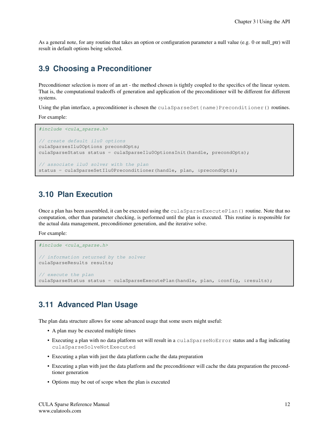As a general note, for any routine that takes an option or configuration parameter a null value (e.g. 0 or null ptr) will result in default options being selected.

### <span id="page-16-0"></span>**3.9 Choosing a Preconditioner**

Preconditioner selection is more of an art - the method chosen is tightly coupled to the specifics of the linear system. That is, the computational tradeoffs of generation and application of the preconditioner will be different for different systems.

Using the plan interface, a preconditioner is chosen the culaSparseSet{name}Preconditioner() routines.

For example:

```
#include <cula_sparse.h>
// create default ilu0 options
culaSparsesIlu0Options precondOpts;
culaSparseStatus status = culaSparseIlu0OptionsInit(handle, precondOpts);
// associate ilu0 solver with the plan
status = culaSparseSetIlu0Preconditioner(handle, plan, &precondOpts);
```
### <span id="page-16-1"></span>**3.10 Plan Execution**

Once a plan has been assembled, it can be executed using the culaSparseExecutePlan() routine. Note that no computation, other than parameter checking, is performed until the plan is executed. This routine is responsible for the actual data management, preconditioner generation, and the iterative solve.

For example:

```
#include <cula_sparse.h>
// information returned by the solver
culaSparseResults results;
// execute the plan
culaSparseStatus status = culaSparseExecutePlan(handle, plan, &config, &results);
```
### <span id="page-16-2"></span>**3.11 Advanced Plan Usage**

The plan data structure allows for some advanced usage that some users might useful:

- A plan may be executed multiple times
- Executing a plan with no data platform set will result in a culaSparseNoError status and a flag indicating culaSparseSolveNotExecuted
- Executing a plan with just the data platform cache the data preparation
- Executing a plan with just the data platform and the preconditioner will cache the data preparation the precondtioner generation
- Options may be out of scope when the plan is executed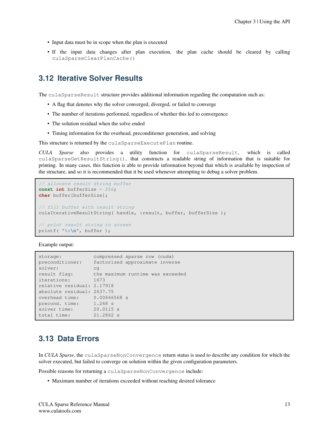- Input data must be in scope when the plan is executed
- If the input data changes after plan execution, the plan cache should be cleared by calling culaSparseClearPlanCache()

### <span id="page-17-0"></span>**3.12 Iterative Solver Results**

The culaSparseResult structure provides additional information regarding the computation such as:

- A flag that denotes why the solver converged, diverged, or failed to converge
- The number of iterations performed, regardless of whether this led to convergence
- The solution residual when the solve ended
- Timing information for the overhead, preconditioner generation, and solving

This structure is returned by the culaSparseExecutePlan routine.

*CULA Sparse* also provides a utility function for culaSparseResult, which is called culaSparseGetResultString(), that constructs a readable string of information that is suitable for printing. In many cases, this function is able to provide information beyond that which is available by inspection of the structure, and so it is recommended that it be used whenever attempting to debug a solver problem.

```
// allocate result string buffer
const int bufferSize = 256;
char buffer[bufferSize];
// fill buffer with result string
culaIterativeResultString( handle, &result, buffer, bufferSize );
// print result string to screen
printf( "%s\n", buffer );
```
Example output:

```
storage: compressed sparse row (cuda)
preconditioner: factorized approximate inverse
solver: cg
result flag: the maximum runtime was exceeded<br>iterations: 1673
iterations:
relative residual: 2.17918
absolute residual: 2637.75
overhead time: 0.00666568 s<br>precond. time: 1.268 s
precond. time:
solver time: 20.0115 s
total time: 21.2862 s
```
### <span id="page-17-1"></span>**3.13 Data Errors**

In *CULA Sparse*, the culaSparseNonConvergence return status is used to describe any condition for which the solver executed, but failed to converge on solution within the given configuration parameters.

Possible reasons for returning a culaSparseNonConvergence include:

• Maximum number of iterations exceeded without reaching desired tolerance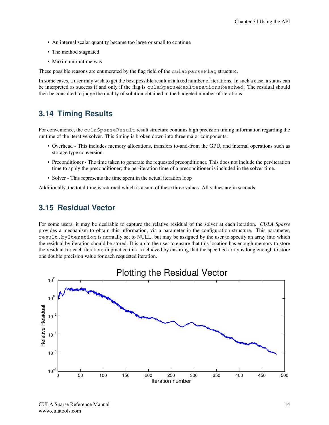- An internal scalar quantity became too large or small to continue
- The method stagnated
- Maximum runtime was

These possible reasons are enumerated by the flag field of the culaSparseFlag structure.

In some cases, a user may wish to get the best possible result in a fixed number of iterations. In such a case, a status can be interpreted as success if and only if the flag is culaSparseMaxIterationsReached. The residual should then be consulted to judge the quality of solution obtained in the budgeted number of iterations.

# <span id="page-18-0"></span>**3.14 Timing Results**

For convenience, the culaSparseResult result structure contains high precision timing information regarding the runtime of the iterative solver. This timing is broken down into three major components:

- Overhead This includes memory allocations, transfers to-and-from the GPU, and internal operations such as storage type conversion.
- Preconditioner The time taken to generate the requested preconditioner. This does not include the per-iteration time to apply the preconditioner; the per-iteration time of a preconditioner is included in the solver time.
- Solver This represents the time spent in the actual iteration loop

Additionally, the total time is returned which is a sum of these three values. All values are in seconds.

# <span id="page-18-1"></span>**3.15 Residual Vector**

For some users, it may be desirable to capture the relative residual of the solver at each iteration. *CULA Sparse* provides a mechanism to obtain this information, via a parameter in the configuration structure. This parameter, result.byIteration is normally set to NULL, but may be assigned by the user to specify an array into which the residual by iteration should be stored. It is up to the user to ensure that this location has enough memory to store the residual for each iteration; in practice this is achieved by ensuring that the specified array is long enough to store one double precision value for each requested iteration.



CULA Sparse Reference Manual www.culatools.com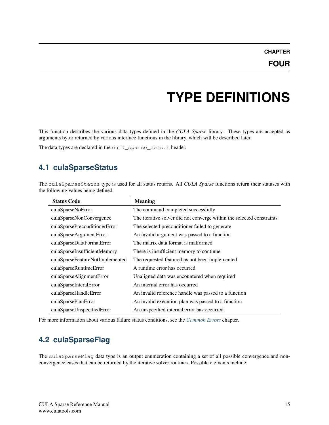# **TYPE DEFINITIONS**

<span id="page-19-0"></span>This function describes the various data types defined in the *CULA Sparse* library. These types are accepted as arguments by or returned by various interface functions in the library, which will be described later.

The data types are declared in the cula\_sparse\_defs.h header.

# <span id="page-19-1"></span>**4.1 culaSparseStatus**

The culaSparseStatus type is used for all status returns. All *CULA Sparse* functions return their statuses with the following values being defined:

| <b>Status Code</b>              | <b>Meaning</b>                                                        |
|---------------------------------|-----------------------------------------------------------------------|
| culaSparseNoError               | The command completed successfully                                    |
| culaSparseNonConvergence        | The iterative solver did not converge within the selected constraints |
| culaSparsePreconditionerError   | The selected preconditioner failed to generate                        |
| culaSparseArgumentError         | An invalid argument was passed to a function                          |
| culaSparseDataFormatError       | The matrix data format is malformed                                   |
| culaSparseInsufficientMemory    | There is insufficient memory to continue                              |
| culaSparseFeatureNotImplemented | The requested feature has not been implemented                        |
| culaSparseRuntimeError          | A runtime error has occurred                                          |
| culaSparseAlignmentError        | Unaligned data was encountered when required                          |
| culaSparseInteralError          | An internal error has occurred                                        |
| culaSparseHandleError           | An invalid reference handle was passed to a function                  |
| culaSparsePlanError             | An invalid execution plan was passed to a function                    |
| culaSparseUnspecifiedError      | An unspecified internal error has occurred                            |

For more information about various failure status conditions, see the *[Common Errors](#page-47-0)* chapter.

# <span id="page-19-2"></span>**4.2 culaSparseFlag**

The culaSparseFlag data type is an output enumeration containing a set of all possible convergence and nonconvergence cases that can be returned by the iterative solver routines. Possible elements include: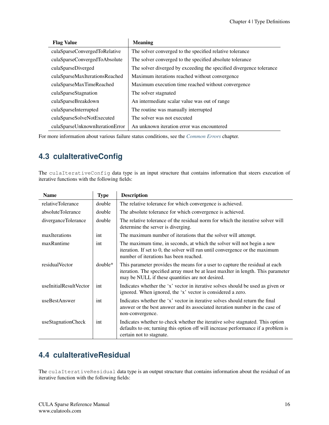| <b>Flag Value</b>               | <b>Meaning</b>                                                      |
|---------------------------------|---------------------------------------------------------------------|
| culaSparseConvergedToRelative   | The solver converged to the specified relative tolerance            |
| culaSparseConvergedToAbsolute   | The solver converged to the specified absolute tolerance            |
| culaSparseDiverged              | The solver diverged by exceeding the specified divergence tolerance |
| culaSparseMaxIterationsReached  | Maximum iterations reached without convergence                      |
| culaSparseMaxTimeReached        | Maximum execution time reached without convergence                  |
| culaSparseStagnation            | The solver stagnated                                                |
| culaSparseBreakdown             | An intermediate scalar value was out of range                       |
| culaSparseInterrupted           | The routine was manually interrupted                                |
| culaSparseSolveNotExecuted      | The solver was not executed                                         |
| culaSparseUnknownIterationError | An unknown iteration error was encountered                          |

For more information about various failure status conditions, see the *[Common Errors](#page-47-0)* chapter.

# <span id="page-20-0"></span>**4.3 culaIterativeConfig**

The culaIterativeConfig data type is an input structure that contains information that steers execution of iterative functions with the following fields:

| <b>Name</b>            | <b>Type</b> | <b>Description</b>                                                                                                                                                                                                    |
|------------------------|-------------|-----------------------------------------------------------------------------------------------------------------------------------------------------------------------------------------------------------------------|
| relativeTolerance      | double      | The relative tolerance for which convergence is achieved.                                                                                                                                                             |
| absoluteTolerance      | double      | The absolute tolerance for which convergence is achieved.                                                                                                                                                             |
| diverganceTolerance    | double      | The relative tolerance of the residual norm for which the iterative solver will<br>determine the server is diverging.                                                                                                 |
| maxIterations          | int         | The maximum number of iterations that the solver will attempt.                                                                                                                                                        |
| maxRuntime             | int         | The maximum time, in seconds, at which the solver will not begin a new<br>iteration. If set to 0, the solver will run until convergence or the maximum<br>number of iterations has been reached.                      |
| residualVector         | $double*$   | This parameter provides the means for a user to capture the residual at each<br>iteration. The specified array must be at least maxIter in length. This parameter<br>may be NULL if these quantities are not desired. |
| useInitialResultVector | int         | Indicates whether the 'x' vector in iterative solves should be used as given or<br>ignored. When ignored, the 'x' vector is considered a zero.                                                                        |
| useBestAnswer          | int         | Indicates whether the 'x' vector in iterative solves should return the final<br>answer or the best answer and its associated iteration number in the case of<br>non-convergence.                                      |
| useStagnationCheck     | int         | Indicates whether to check whether the iterative solve stagnated. This option<br>defaults to on; turning this option off will increase performance if a problem is<br>certain not to stagnate.                        |

# <span id="page-20-1"></span>**4.4 culaIterativeResidual**

The culaIterativeResidual data type is an output structure that contains information about the residual of an iterative function with the following fields: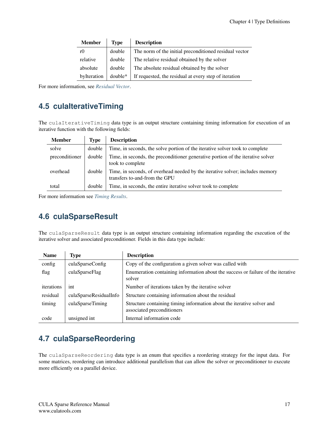| <b>Member</b> | Type      | <b>Description</b>                                     |
|---------------|-----------|--------------------------------------------------------|
| r0            | double    | The norm of the initial preconditioned residual vector |
| relative      | double    | The relative residual obtained by the solver           |
| absolute      | double    | The absolute residual obtained by the solver           |
| byIteration   | $double*$ | If requested, the residual at every step of iteration  |

For more information, see *[Residual Vector](#page-18-1)*.

# <span id="page-21-0"></span>**4.5 culaIterativeTiming**

The culaIterativeTiming data type is an output structure containing timing information for execution of an iterative function with the following fields:

| <b>Member</b>  | Type   | <b>Description</b>                                                                                             |
|----------------|--------|----------------------------------------------------------------------------------------------------------------|
| solve          | double | Time, in seconds, the solve portion of the iterative solver took to complete                                   |
| preconditioner | double | Time, in seconds, the preconditioner generative portion of the iterative solver<br>took to complete            |
| overhead       | double | Time, in seconds, of overhead needed by the iterative solver; includes memory<br>transfers to-and-from the GPU |
| total          | double | Time, in seconds, the entire iterative solver took to complete                                                 |

For more information see *[Timing Results](#page-18-0)*.

# <span id="page-21-1"></span>**4.6 culaSparseResult**

The culaSparseResult data type is an output structure containing information regarding the execution of the iterative solver and associated preconditioner. Fields in this data type include:

| <b>Name</b> | <b>Type</b>            | <b>Description</b>                                                                                   |
|-------------|------------------------|------------------------------------------------------------------------------------------------------|
| config      | culaSparseConfig       | Copy of the configuration a given solver was called with                                             |
| flag        | culaSparseFlag         | Enumeration containing information about the success or failure of the iterative<br>solver           |
| iterations  | int                    | Number of iterations taken by the iterative solver                                                   |
| residual    | culaSparseResidualInfo | Structure containing information about the residual                                                  |
| timing      | culaSparseTiming       | Structure containing timing information about the iterative solver and<br>associated preconditioners |
| code        | unsigned int           | Internal information code                                                                            |

# <span id="page-21-2"></span>**4.7 culaSparseReordering**

The culaSparseReordering data type is an enum that specifies a reordering strategy for the input data. For some matrices, reordering can introduce additional parallelism that can allow the solver or preconditioner to execute more efficiently on a parallel device.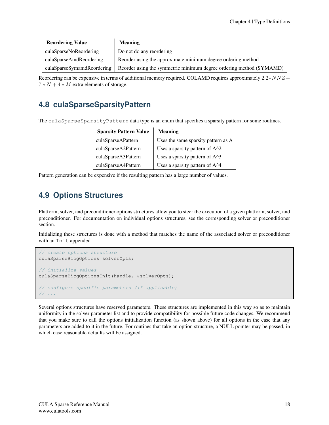| <b>Reordering Value</b>    | <b>Meaning</b>                                                      |
|----------------------------|---------------------------------------------------------------------|
| culaSparseNoReordering     | Do not do any reordering                                            |
| culaSparseAmdReordering    | Reorder using the approximate minimum degree ordering method        |
| culaSparseSymamdReordering | Reorder using the symmetric minimum degree ordering method (SYMAMD) |

Reordering can be expensive in terms of additional memory required. COLAMD requires approximately  $2.2*NNZ+$  $7*N+4*M$  extra elements of storage.

# <span id="page-22-0"></span>**4.8 culaSparseSparsityPattern**

The culaSparseSparsityPattern data type is an enum that specifies a sparsity pattern for some routines.

| <b>Sparsity Pattern Value</b> | <b>Meaning</b>                      |
|-------------------------------|-------------------------------------|
| culaSparseAPattern            | Uses the same sparsity pattern as A |
| culaSparseA2Pattern           | Uses a sparsity pattern of $A^2$    |
| culaSparseA3Pattern           | Uses a sparsity pattern of A^3      |
| culaSparseA4Pattern           | Uses a sparsity pattern of A^4      |

Pattern generation can be expensive if the resulting pattern has a large number of values.

# <span id="page-22-1"></span>**4.9 Options Structures**

Platform, solver, and preconditioner options structures allow you to steer the execution of a given platform, solver, and preconditioner. For documentation on individual options structures, see the corresponding solver or preconditioner section.

Initializing these structures is done with a method that matches the name of the associated solver or preconditioner with an Init appended.

```
// create options structure
culaSparseBicgOptions solverOpts;
// initialize values
culaSparseBicgOptionsInit(handle, &solverOpts);
// configure specific parameters (if applicable)
// ...
```
Several options structures have reserved parameters. These structures are implemented in this way so as to maintain uniformity in the solver parameter list and to provide compatibility for possible future code changes. We recommend that you make sure to call the options initialization function (as shown above) for all options in the case that any parameters are added to it in the future. For routines that take an option structure, a NULL pointer may be passed, in which case reasonable defaults will be assigned.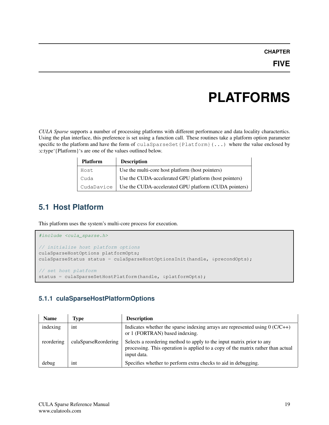# **PLATFORMS**

<span id="page-23-0"></span>*CULA Sparse* supports a number of processing platforms with different performance and data locality charactertics. Using the plan interface, this preference is set using a function call. These routines take a platform option parameter specific to the platform and have the form of culaSparseSet{Platform}(...) where the value enclosed by :c:type'{Platform}'s are one of the values outlined below.

| <b>Platform</b> | <b>Description</b>                                    |
|-----------------|-------------------------------------------------------|
| Host            | Use the multi-core host platform (host pointers)      |
| Cuda            | Use the CUDA-accelerated GPU platform (host pointers) |
| CudaDavice      | Use the CUDA-accelerated GPU platform (CUDA pointers) |

# <span id="page-23-1"></span>**5.1 Host Platform**

This platform uses the system's multi-core process for execution.

```
#include <cula_sparse.h>
// initialize host platform options
culaSparseHostOptions platformOpts;
culaSparseStatus status = culaSparseHostOptionsInit(handle, &precondOpts);
// set host platform
status = culaSparseSetHostPlatform(handle, &platformOpts);
```
# **5.1.1 culaSparseHostPlatformOptions**

| <b>Name</b> | Type                 | <b>Description</b>                                                                                                                                                       |
|-------------|----------------------|--------------------------------------------------------------------------------------------------------------------------------------------------------------------------|
| indexing    | int                  | Indicates whether the sparse indexing arrays are represented using $0(C/C++)$<br>or 1 (FORTRAN) based indexing.                                                          |
| reordering  | culaSparseReordering | Selects a reordering method to apply to the input matrix prior to any<br>processing. This operation is applied to a copy of the matrix rather than actual<br>input data. |
| debug       | int                  | Specifies whether to perform extra checks to aid in debugging.                                                                                                           |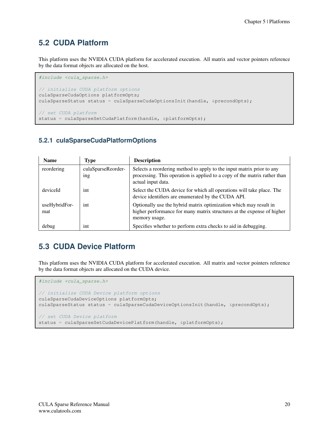# <span id="page-24-0"></span>**5.2 CUDA Platform**

This platform uses the NVIDIA CUDA platform for accelerated execution. All matrix and vector pointers reference by the data format objects are allocated on the host.

```
#include <cula_sparse.h>
// initialize CUDA platform options
culaSparseCudaOptions platformOpts;
culaSparseStatus status = culaSparseCudaOptionsInit(handle, &precondOpts);
// set CUDA platform
status = culaSparseSetCudaPlatform(handle, &platformOpts);
```
### **5.2.1 culaSparseCudaPlatformOptions**

| <b>Name</b>          | <b>Type</b>                           | <b>Description</b>                                                                                                                                                       |
|----------------------|---------------------------------------|--------------------------------------------------------------------------------------------------------------------------------------------------------------------------|
| reordering           | culaSparseReorder-<br>1 <sub>ng</sub> | Selects a reordering method to apply to the input matrix prior to any<br>processing. This operation is applied to a copy of the matrix rather than<br>actual input data. |
| deviceId             | int                                   | Select the CUDA device for which all operations will take place. The<br>device identifiers are enumerated by the CUDA API.                                               |
| useHybridFor-<br>mat | int                                   | Optionally use the hybrid matrix optimization which may result in<br>higher performance for many matrix structures at the expense of higher<br>memory usage.             |
| debug                | int                                   | Specifies whether to perform extra checks to aid in debugging.                                                                                                           |

### <span id="page-24-1"></span>**5.3 CUDA Device Platform**

This platform uses the NVIDIA CUDA platform for accelerated execution. All matrix and vector pointers reference by the data format objects are allocated on the CUDA device.

```
#include <cula_sparse.h>
// initialize CUDA Device platform options
culaSparseCudaDeviceOptions platformOpts;
culaSparseStatus status = culaSparseCudaDeviceOptionsInit(handle, &precondOpts);
// set CUDA Device platform
status = culaSparseSetCudaDevicePlatform(handle, &platformOpts);
```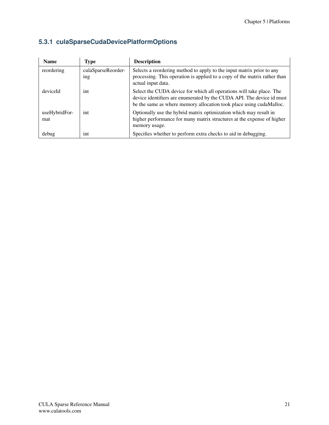# **5.3.1 culaSparseCudaDevicePlatformOptions**

| <b>Name</b>          | Type                      | <b>Description</b>                                                                                                                                                                                                   |
|----------------------|---------------------------|----------------------------------------------------------------------------------------------------------------------------------------------------------------------------------------------------------------------|
| reordering           | culaSparseReorder-<br>ing | Selects a reordering method to apply to the input matrix prior to any<br>processing. This operation is applied to a copy of the matrix rather than<br>actual input data.                                             |
| deviceId             | int                       | Select the CUDA device for which all operations will take place. The<br>device identifiers are enumerated by the CUDA API. The device id must<br>be the same as where memory allocation took place using cudaMalloc. |
| useHybridFor-<br>mat | int                       | Optionally use the hybrid matrix optimization which may result in<br>higher performance for many matrix structures at the expense of higher<br>memory usage.                                                         |
| debug                | int                       | Specifies whether to perform extra checks to aid in debugging.                                                                                                                                                       |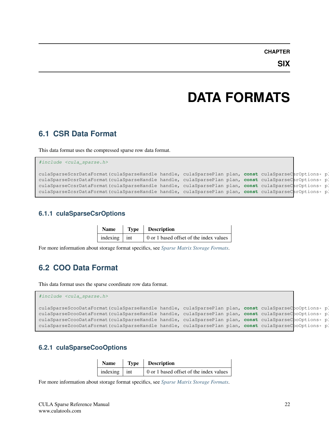### **CHAPTER**

**SIX**

# **DATA FORMATS**

### <span id="page-26-1"></span><span id="page-26-0"></span>**6.1 CSR Data Format**

This data format uses the compressed sparse row data format.

#include <cula\_sparse.h>

```
culaSparseScsrDataFormat (culaSparseHandle handle, culaSparsePlan plan, const culaSparseCsrOptions* p)
culaSparseDcsrDataFormat (culaSparseHandle handle, culaSparsePlan plan, const culaSparseCsrOptions* p
culaSparseCcsrDataFormat (culaSparseHandle handle, culaSparsePlan plan, const culaSparseCsrOptions* p)
culaSparseZcsrDataFormat (culaSparseHandle handle, culaSparsePlan plan, const culaSparseCsrOptions* p)
```
### **6.1.1 culaSparseCsrOptions**

| <b>Name</b>      | <b>Type</b> Description                 |
|------------------|-----------------------------------------|
| indexing $ $ int | 0 or 1 based offset of the index values |

For more information about storage format specifics, see *[Sparse Matrix Storage Formats](#page-12-0)*.

# <span id="page-26-2"></span>**6.2 COO Data Format**

This data format uses the sparse coordinate row data format.

```
#include <cula_sparse.h>
culaSparseScooDataFormat (culaSparseHandle handle, culaSparsePlan plan, const culaSparseCpoOptions* p)
culaSparseDcooDataFormat (culaSparseHandle handle, culaSparsePlan plan, const culaSparseCpoOptions* p
culaSparseCcooDataFormat (culaSparseHandle handle, culaSparsePlan plan, const culaSparseCpoOptions* p)
culaSparseZcooDataFormat (culaSparseHandle handle, culaSparsePlan plan, const culaSparseCpoOptions* p)
```
### **6.2.1 culaSparseCooOptions**

| <b>Name</b>    | <b>Type</b>   Description                            |
|----------------|------------------------------------------------------|
| $indexing$ int | $\overline{0}$ or 1 based offset of the index values |

For more information about storage format specifics, see *[Sparse Matrix Storage Formats](#page-12-0)*.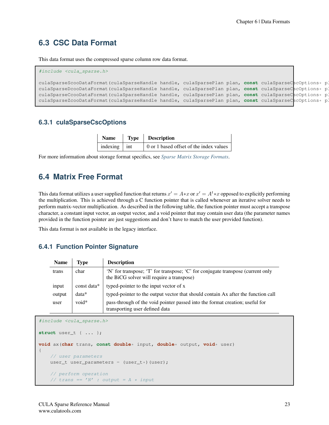### <span id="page-27-0"></span>**6.3 CSC Data Format**

This data format uses the compressed sparse column row data format.

```
#include <cula_sparse.h>
culaSparseScooDataFormat (culaSparseHandle handle, culaSparsePlan plan, const culaSparseCscOptions* p)
culaSparseDcooDataFormat (culaSparseHandle handle, culaSparsePlan plan, const culaSparseCscOptions* p)
culaSparseCcooDataFormat (culaSparseHandle handle, culaSparsePlan plan, const culaSparseCscOptions* p)
culaSparseZcooDataFormat(culaSparseHandle handle, culaSparsePlan plan, const culaSparseCscOptions* p)
```
### **6.3.1 culaSparseCscOptions**

| <b>Name</b>    | <b>Type</b> Description                 |
|----------------|-----------------------------------------|
| $indexing$ int | 0 or 1 based offset of the index values |

For more information about storage format specifics, see *[Sparse Matrix Storage Formats](#page-12-0)*.

### <span id="page-27-1"></span>**6.4 Matrix Free Format**

This data format utilizes a user supplied function that returns  $x' = A*x$  or  $x' = A^t*x$  opposed to explicitly performing the multiplication. This is achieved through a C function pointer that is called whenever an iterative solver needs to perform matrix-vector multiplication. As described in the following table, the function pointer must accept a transpose character, a constant input vector, an output vector, and a void pointer that may contain user data (the parameter names provided in the function pointer are just suggestions and don't have to match the user provided function).

This data format is not available in the legacy interface.

### **6.4.1 Function Pointer Signature**

| <b>Name</b> | Type        | <b>Description</b>                                                                                                           |
|-------------|-------------|------------------------------------------------------------------------------------------------------------------------------|
| trans       | char        | 'N' for transpose; 'T' for transpose; 'C' for conjugate transpose (current only<br>the BiCG solver will require a transpose) |
| input       | const data* | typed-pointer to the input vector of x                                                                                       |
| output      | $data*$     | typed-pointer to the output vector that should contain Ax after the function call                                            |
| user        | $void*$     | pass-through of the void pointer passed into the format creation; useful for<br>transporting user defined data               |

```
#include <cula_sparse.h>
struct user_t { ... };
void ax(char trans, const double* input, double* output, void* user)
{
    // user parameters
   user_t user_parameters = (user_t*) (user);
    // perform operation
    // trans == 'N' : output = A * input
```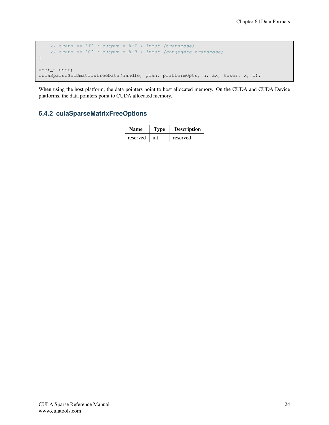```
// trans == 'T' : output = A^T * input (transpose)
    // trans == 'C' : output = A^H * input (conjugate transpose)
}
user_t user;
culaSparseSetDmatrixfreeData(handle, plan, platformOpts, n, ax, &user, x, b);
```
When using the host platform, the data pointers point to host allocated memory. On the CUDA and CUDA Device platforms, the data pointers point to CUDA allocated memory.

### **6.4.2 culaSparseMatrixFreeOptions**

| <b>Name</b> | Type | <b>Description</b> |
|-------------|------|--------------------|
| reserved    | int  | reserved           |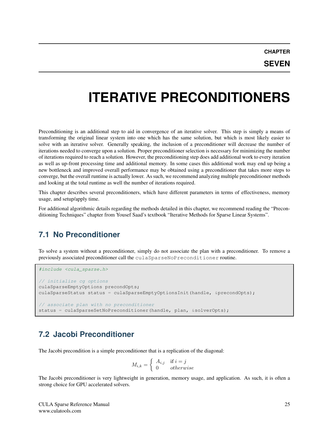**SEVEN**

# <span id="page-29-0"></span>**ITERATIVE PRECONDITIONERS**

Preconditioning is an additional step to aid in convergence of an iterative solver. This step is simply a means of transforming the original linear system into one which has the same solution, but which is most likely easier to solve with an iterative solver. Generally speaking, the inclusion of a preconditioner will decrease the number of iterations needed to converge upon a solution. Proper preconditioner selection is necessary for minimizing the number of iterations required to reach a solution. However, the preconditioning step does add additional work to every iteration as well as up-front processing time and additional memory. In some cases this additional work may end up being a new bottleneck and improved overall performance may be obtained using a preconditioner that takes more steps to converge, but the overall runtime is actually lower. As such, we recommend analyzing multiple preconditioner methods and looking at the total runtime as well the number of iterations required.

This chapter describes several preconditioners, which have different parameters in terms of effectiveness, memory usage, and setup/apply time.

For additional algorithmic details regarding the methods detailed in this chapter, we recommend reading the "Preconditioning Techniques" chapter from Yousef Saad's textbook "Iterative Methods for Sparse Linear Systems".

# <span id="page-29-1"></span>**7.1 No Preconditioner**

To solve a system without a preconditioner, simply do not associate the plan with a preconditioner. To remove a previously associated preconditioner call the culaSparseNoPreconditioner routine.

```
#include <cula_sparse.h>
// initialize cg options
culaSparseEmptyOptions precondOpts;
culaSparseStatus status = culaSparseEmptyOptionsInit(handle, &precondOpts);
// associate plan with no preconditioner
status = culaSparseSetNoPreconditioner(handle, plan, &solverOpts);
```
# <span id="page-29-2"></span>**7.2 Jacobi Preconditioner**

The Jacobi precondition is a simple preconditioner that is a replication of the diagonal:

$$
M_{i,k} = \begin{cases} A_{i,j} & \text{if } i = j \\ 0 & otherwise \end{cases}
$$

The Jacobi preconditioner is very lightweight in generation, memory usage, and application. As such, it is often a strong choice for GPU accelerated solvers.

CULA Sparse Reference Manual www.culatools.com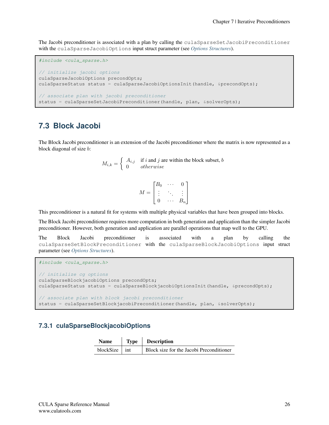The Jacobi preconditioner is associated with a plan by calling the culaSparseSetJacobiPreconditioner with the culaSparseJacobiOptions input struct parameter (see *[Options Structures](#page-22-1)*).

```
#include <cula_sparse.h>
// initialize jacobi options
culaSparseJacobiOptions precondOpts;
culaSparseStatus status = culaSparseJacobiOptionsInit(handle, &precondOpts);
// associate plan with jacobi preconditioner
status = culaSparseSetJacobiPreconditioner(handle, plan, &solverOpts);
```
### <span id="page-30-0"></span>**7.3 Block Jacobi**

The Block Jacobi preconditioner is an extension of the Jacobi preconditioner where the matrix is now represented as a block diagonal of size b:

$$
M_{i,k} = \begin{cases} A_{i,j} & \text{if } i \text{ and } j \text{ are within the block subset, } b \\ 0 & otherwise \end{cases}
$$

$$
M = \begin{bmatrix} B_0 & \cdots & 0 \\ \vdots & \ddots & \vdots \\ 0 & \cdots & B_n \end{bmatrix}
$$

This preconditioner is a natural fit for systems with multiple physical variables that have been grouped into blocks.

The Block Jacobi preconditioner requires more computation in both generation and application than the simpler Jacobi preconditioner. However, both generation and application are parallel operations that map well to the GPU.

The Block Jacobi preconditioner is associated with a plan by calling the culaSparseSetBlockPreconditioner with the culaSparseBlockJacobiOptions input struct parameter (see *[Options Structures](#page-22-1)*).

```
#include <cula_sparse.h>
// initialize cg options
culaSparseBlockjacobiOptions precondOpts;
culaSparseStatus status = culaSparseBlockjacobiOptionsInit(handle, &precondOpts);
// associate plan with block jacobi preconditioner
status = culaSparseSetBlockjacobiPreconditioner(handle, plan, &solverOpts);
```
### **7.3.1 culaSparseBlockjacobiOptions**

| <b>Name</b>     | Type Description                         |
|-----------------|------------------------------------------|
| $blockSize$ int | Block size for the Jacobi Preconditioner |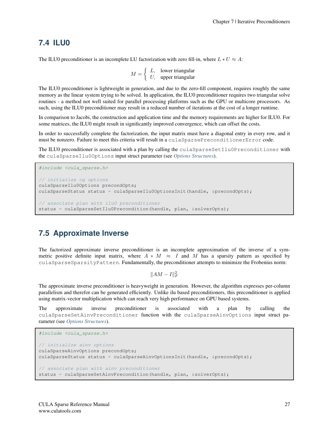### <span id="page-31-0"></span>**7.4 ILU0**

The ILU0 preconditioner is an incomplete LU factorization with zero fill-in, where  $L * U \approx A$ :

 $M = \begin{cases} L, & \text{lower triangular} \\ U & \text{upper triangular} \end{cases}$  $U$ , upper triangular

The ILU0 preconditioner is lightweight in generation, and due to the zero-fill component, requires roughly the same memory as the linear system trying to be solved. In application, the ILU0 preconditioner requires two triangular solve routines - a method not well suited for parallel processing platforms such as the GPU or multicore processors. As such, using the ILU0 preconditioner may result in a reduced number of iterations at the cost of a longer runtime.

In comparison to Jacobi, the construction and application time and the memory requirements are higher for ILU0. For some matrices, the ILU0 might result in significantly improved convergence, which can offset the costs.

In order to successfully complete the factorization, the input matrix must have a diagonal entry in every row, and it must be nonzero. Failure to meet this criteria will result in a culaSparsePreconditionerError code.

The ILU0 preconditioner is associated with a plan by calling the culaSparseSetIlu0Preconditioner with the culaSparseIlu0Options input struct parameter (see *[Options Structures](#page-22-1)*).

```
#include <cula_sparse.h>
// initialize cg options
culaSparseIlu0Options precondOpts;
culaSparseStatus status = culaSparseIlu0OptionsInit(handle, &precondOpts);
// associate plan with ilu0 preconditioner
status = culaSparseSetIlu0Precondition(handle, plan, &solverOpts);
```
### <span id="page-31-1"></span>**7.5 Approximate Inverse**

The factorized approximate inverse preconditioner is an incomplete approximation of the inverse of a symmetric positive definite input matrix, where  $A * M \approx I$  and M has a sparsity pattern as specified by culaSparseSparsityPattern. Fundamentally, the preconditioner attempts to minimize the Frobenius norm:

 $||AM - I||_F^2$ 

The approximate inverse preconditioner is heavyweight in generation. However, the algorithm expresses per-column parallelism and therefor can be generated efficiently. Unlike ilu based preconditioners, this preconditioner is applied using matrix-vector multiplication which can reach very high performance on GPU based systems.

The approximate inverse preconditioner is associated with a plan by calling the culaSparseSetAinvPreconditioner function with the culaSparseAinvOptions input struct parameter (see *[Options Structures](#page-22-1)*).

```
#include <cula_sparse.h>
// initialize ainv options
culaSparseAinvOptions precondOpts;
culaSparseStatus status = culaSparseAinvOptionsInit(handle, &precondOpts);
// associate plan with ainv preconditioner
status = culaSparseSetAinvPrecondition(handle, plan, &solverOpts);
```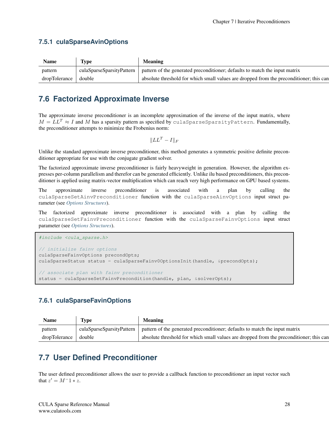### **7.5.1 culaSparseAvinOptions**

| <b>Name</b>   | 1vpe                      | <b>Meaning</b>                                                                          |
|---------------|---------------------------|-----------------------------------------------------------------------------------------|
| pattern       | culaSparseSparsityPattern | pattern of the generated preconditioner; defaults to match the input matrix             |
| dropTolerance | double                    | absolute threshold for which small values are dropped from the preconditioner; this can |

# <span id="page-32-0"></span>**7.6 Factorized Approximate Inverse**

The approximate inverse preconditioner is an incomplete approximation of the inverse of the input matrix, where  $M = LL^T \approx I$  and M has a sparsity pattern as specified by culaSparseSparsityPattern. Fundamentally, the preconditioner attempts to minimize the Frobenius norm:

$$
\|LL^T-I\|_F
$$

Unlike the standard approximate inverse preconditioner, this method generates a symmetric positive definite preconditioner appropriate for use with the conjugate gradient solver.

The factorized approximate inverse preconditioner is fairly heavyweight in generation. However, the algorithm expresses per-column parallelism and therefor can be generated efficiently. Unlike ilu based preconditioners, this preconditioner is applied using matrix-vector multiplication which can reach very high performance on GPU based systems.

The approximate inverse preconditioner is associated with a plan by calling the culaSparseSetAinvPreconditioner function with the culaSparseAinvOptions input struct parameter (see *[Options Structures](#page-22-1)*).

The factorized approximate inverse preconditioner is associated with a plan by calling the culaSparseSetFainvPreconditioner function with the culaSparseFainvOptions input struct parameter (see *[Options Structures](#page-22-1)*).

#include <cula\_sparse.h> // initialize fainv options culaSparseFainvOptions precondOpts; culaSparseStatus status = culaSparseFainv0OptionsInit(handle, &precondOpts); // associate plan with fainv preconditioner status = culaSparseSetFainvPrecondition(handle, plan, &solverOpts);

### **7.6.1 culaSparseFavinOptions**

| <b>Name</b>   | Type           | <b>Meaning</b>                                                                                          |
|---------------|----------------|---------------------------------------------------------------------------------------------------------|
| pattern       |                | culaSparseSparsityPattern   pattern of the generated preconditioner; defaults to match the input matrix |
| dropTolerance | $\vert$ double | absolute threshold for which small values are dropped from the preconditioner; this can                 |

# <span id="page-32-1"></span>**7.7 User Defined Preconditioner**

The user defined preconditioner allows the user to provide a callback function to preconditioner an input vector such that  $z' = M^{-1} * z$ .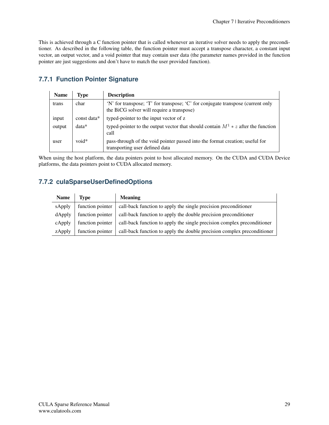This is achieved through a C function pointer that is called whenever an iterative solver needs to apply the preconditioner. As described in the following table, the function pointer must accept a transpose character, a constant input vector, an output vector, and a void pointer that may contain user data (the parameter names provided in the function pointer are just suggestions and don't have to match the user provided function).

### **7.7.1 Function Pointer Signature**

| <b>Name</b> | Type        | <b>Description</b>                                                                                                           |
|-------------|-------------|------------------------------------------------------------------------------------------------------------------------------|
| trans       | char        | 'N' for transpose; 'T' for transpose; 'C' for conjugate transpose (current only<br>the BiCG solver will require a transpose) |
| input       | const data* | typed-pointer to the input vector of z                                                                                       |
| output      | $data*$     | typed-pointer to the output vector that should contain $M^1 * z$ after the function<br>call                                  |
| user        | $void*$     | pass-through of the void pointer passed into the format creation; useful for<br>transporting user defined data               |

When using the host platform, the data pointers point to host allocated memory. On the CUDA and CUDA Device platforms, the data pointers point to CUDA allocated memory.

### **7.7.2 culaSparseUserDefinedOptions**

| <b>Name</b> | Type             | <b>Meaning</b>                                                          |
|-------------|------------------|-------------------------------------------------------------------------|
| sApply      | function pointer | call-back function to apply the single precision preconditioner         |
| dApply      | function pointer | call-back function to apply the double precision preconditioner         |
| cApply      | function pointer | call-back function to apply the single precision complex preconditioner |
| zApply      | function pointer | call-back function to apply the double precision complex preconditioner |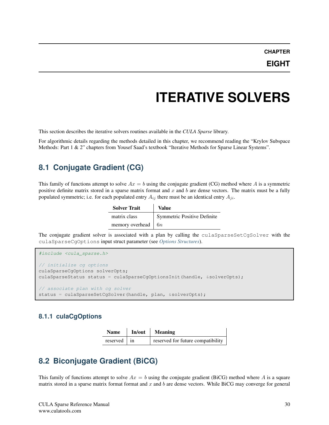# **ITERATIVE SOLVERS**

<span id="page-34-0"></span>This section describes the iterative solvers routines available in the *CULA Sparse* library.

For algorithmic details regarding the methods detailed in this chapter, we recommend reading the "Krylov Subspace Methods: Part 1 & 2" chapters from Yousef Saad's textbook "Iterative Methods for Sparse Linear Systems".

# <span id="page-34-1"></span>**8.1 Conjugate Gradient (CG)**

This family of functions attempt to solve  $Ax = b$  using the conjugate gradient (CG) method where A is a symmetric positive definite matrix stored in a sparse matrix format and  $x$  and  $b$  are dense vectors. The matrix must be a fully populated symmetric; i.e. for each populated entry  $A_{ij}$  there must be an identical entry  $A_{ji}$ .

| <b>Solver Trait</b>       | Value                              |
|---------------------------|------------------------------------|
| matrix class              | <b>Symmetric Positive Definite</b> |
| memory overhead $\mid$ 6n |                                    |

The conjugate gradient solver is associated with a plan by calling the culaSparseSetCgSolver with the culaSparseCgOptions input struct parameter (see *[Options Structures](#page-22-1)*).

```
#include <cula_sparse.h>
// initialize cg options
culaSparseCgOptions solverOpts;
culaSparseStatus status = culaSparseCgOptionsInit(handle, &solverOpts);
// associate plan with cg solver
status = culaSparseSetCqSolver(handle, plan, &solverOpts);
```
### **8.1.1 culaCgOptions**

| <b>Name</b>   | In/out   Meaning                  |
|---------------|-----------------------------------|
| $reserved$ in | reserved for future compatibility |

# <span id="page-34-2"></span>**8.2 Biconjugate Gradient (BiCG)**

This family of functions attempt to solve  $Ax = b$  using the conjugate gradient (BiCG) method where A is a square matrix stored in a sparse matrix format format and  $x$  and  $b$  are dense vectors. While BiCG may converge for general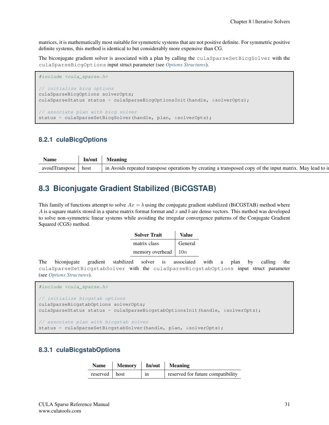matrices, it is mathematically most suitable for symmetric systems that are not positive definite. For symmetric positive definite systems, this method is identical to but considerably more expensive than CG.

The biconjugate gradient solver is associated with a plan by calling the culaSparseSetBicgSolver with the culaSparseBicgOptions input struct parameter (see *[Options Structures](#page-22-1)*).

```
#include <cula_sparse.h>
// initialize bicg options
culaSparseBicgOptions solverOpts;
culaSparseStatus status = culaSparseBicgOptionsInit(handle, &solverOpts);
// associate plan with bicg solver
status = culaSparseSetBicgSolver(handle, plan, &solverOpts);
```
### **8.2.1 culaBicgOptions**

| <b>Name</b>               | . .<br>In/out<br><b>Meaning</b> |                                                                                                                  |
|---------------------------|---------------------------------|------------------------------------------------------------------------------------------------------------------|
| $+100$<br>avoid franspose |                                 | The Avoids repeated transpose operations by creating a transposed copy of the input matrix.<br>May<br>lead to 11 |

# <span id="page-35-0"></span>**8.3 Biconjugate Gradient Stabilized (BiCGSTAB)**

This family of functions attempt to solve  $Ax = b$  using the conjugate gradient stabilized (BiCGSTAB) method where A is a square matrix stored in a sparse matrix format format and  $x$  and  $b$  are dense vectors. This method was developed to solve non-symmetric linear systems while avoiding the irregular convergence patterns of the Conjugate Gradient Squared (CGS) method.

| <b>Solver Trait</b> | <b>Value</b> |
|---------------------|--------------|
| matrix class        | General      |
| memory overhead     | 10n          |

The biconjugate gradient stabilized solver is associated with a plan by calling the culaSparseSetBicgstabSolver with the culaSparseBicgstabOptions input struct parameter (see *[Options Structures](#page-22-1)*).

```
#include <cula_sparse.h>
// initialize bicgstab options
culaSparseBicgstabOptions solverOpts;
culaSparseStatus status = culaSparseBicgstabOptionsInit(handle, &solverOpts);
// associate plan with bicgstab solver
status = culaSparseSetBicgstabSolver(handle, plan, &solverOpts);
```
### **8.3.1 culaBicgstabOptions**

| <b>Name</b>   | <b>Memory</b> | $\ln$ In/out $\ln$ | <b>Meaning</b>                    |
|---------------|---------------|--------------------|-----------------------------------|
| reserved host |               | 1n                 | reserved for future compatibility |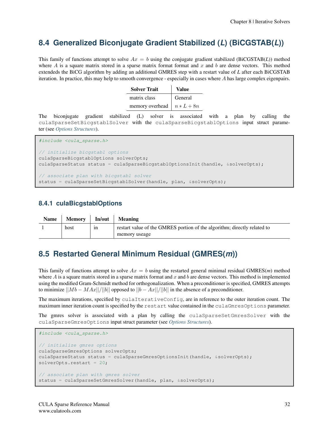# <span id="page-36-0"></span>**8.4 Generalized Biconjugate Gradient Stabilized (***L***) (BiCGSTAB(***L***))**

This family of functions attempt to solve  $Ax = b$  using the conjugate gradient stabilized (BiCGSTAB(*L*)) method where  $A$  is a square matrix stored in a sparse matrix format format and  $x$  and  $b$  are dense vectors. This method extendeds the BiCG algorithm by adding an additional GMRES step with a restart value of *L* after each BiCGSTAB iteration. In practice, this may help to smooth convergence - especially in cases where A has large complex eigenpairs.

| <b>Solver Trait</b> | Value        |
|---------------------|--------------|
| matrix class        | General      |
| memory overhead     | $n * L + 8n$ |

The biconjugate gradient stabilized (L) solver is associated with a plan by calling the culaSparseSetBicgstablSolver with the culaSparseBicgstablOptions input struct parameter (see *[Options Structures](#page-22-1)*).

```
#include <cula_sparse.h>
// initialize bicgstabl options
culaSparseBicgstablOptions solverOpts;
culaSparseStatus status = culaSparseBicgstablOptionsInit(handle, &solverOpts);
// associate plan with bicgstabl solver
status = culaSparseSetBicgstablSolver(handle, plan, &solverOpts);
```
### **8.4.1 culaBicgstablOptions**

| Name | <b>Memory</b> | In/out | <b>Meaning</b>                                                                            |
|------|---------------|--------|-------------------------------------------------------------------------------------------|
|      | host          | 1n     | restart value of the GMRES portion of the algorithm; directly related to<br>memory useage |

# <span id="page-36-1"></span>**8.5 Restarted General Minimum Residual (GMRES(***m***))**

This family of functions attempt to solve  $Ax = b$  using the restarted general minimal residual GMRES(*m*) method where  $\vec{A}$  is a square matrix stored in a sparse matrix format and  $x$  and  $b$  are dense vectors. This method is implemented using the modified Gram-Schmidt method for orthogonalization. When a preconditioner is specified, GMRES attempts to minimize  $||Mb - MAx||/||b||$  opposed to  $||b - Ax||/||b||$  in the absence of a preconditioner.

The maximum iterations, specified by culaIterativeConfig, are in reference to the outer iteration count. The maximum inner iteration count is specified by the restart value contained in the culaGmresOptions parameter.

The gmres solver is associated with a plan by calling the culaSparseSetGmresSolver with the culaSparseGmresOptions input struct parameter (see *[Options Structures](#page-22-1)*).

```
#include <cula_sparse.h>
// initialize gmres options
culaSparseGmresOptions solverOpts;
culaSparseStatus status = culaSparseGmresOptionsInit(handle, &solverOpts);
solverOpts.restart = 20;
// associate plan with gmres solver
status = culaSparseSetGmresSolver(handle, plan, &solverOpts);
```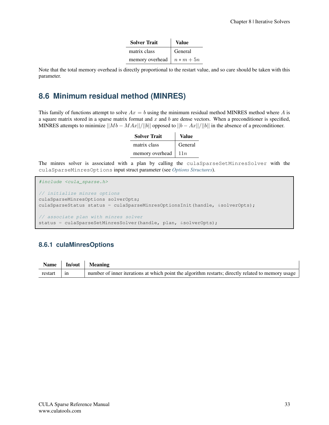| <b>Solver Trait</b>                    | Value   |
|----------------------------------------|---------|
| matrix class                           | General |
| memory overhead $\mid n * m + 5n \mid$ |         |

Note that the total memory overhead is directly proportional to the restart value, and so care should be taken with this parameter.

# <span id="page-37-0"></span>**8.6 Minimum residual method (MINRES)**

This family of functions attempt to solve  $Ax = b$  using the minimum residual method MINRES method where A is a square matrix stored in a sparse matrix format and  $x$  and  $b$  are dense vectors. When a preconditioner is specified, MINRES attempts to minimize  $||Mb - MAx||/||b||$  opposed to  $||b - Ax||/||b||$  in the absence of a preconditioner.

| <b>Solver Trait</b> | Value   |
|---------------------|---------|
| matrix class        | General |
| memory overhead     | 11n     |

The minres solver is associated with a plan by calling the culaSparseSetMinresSolver with the culaSparseMinresOptions input struct parameter (see *[Options Structures](#page-22-1)*).

#include <cula\_sparse.h> // initialize minres options culaSparseMinresOptions solverOpts; culaSparseStatus status = culaSparseMinresOptionsInit(handle, &solverOpts); // associate plan with minres solver status = culaSparseSetMinresSolver(handle, plan, &solverOpts);

### **8.6.1 culaMinresOptions**

|              | Name   In/out   Meaning                                                                            |
|--------------|----------------------------------------------------------------------------------------------------|
| $restart$ in | number of inner iterations at which point the algorithm restarts; directly related to memory usage |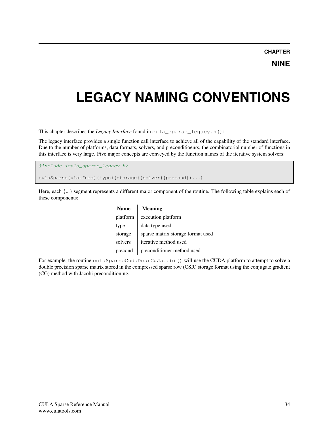**NINE**

# <span id="page-38-0"></span>**LEGACY NAMING CONVENTIONS**

This chapter describes the *Legacy Interface* found in cula\_sparse\_legacy.h():

The legacy interface provides a single function call interface to achieve all of the capability of the standard interface. Due to the number of platforms, data formats, solvers, and preconditioenrs, the combinatorial number of functions in this interface is very large. Five major concepts are conveyed by the function names of the iterative system solvers:

#include <cula\_sparse\_legacy.h>

culaSparse{platform}{type}{storage}{solver}{precond}(...)

Here, each {...} segment represents a different major component of the routine. The following table explains each of these components:

| <b>Name</b> | <b>Meaning</b>                    |
|-------------|-----------------------------------|
| platform    | execution platform                |
| type        | data type used                    |
| storage     | sparse matrix storage format used |
| solvers     | iterative method used             |
| precond     | preconditioner method used        |

For example, the routine culaSparseCudaDcsrCgJacobi() will use the CUDA platform to attempt to solve a double precision sparse matrix stored in the compressed sparse row (CSR) storage format using the conjugate gradient (CG) method with Jacobi preconditioning.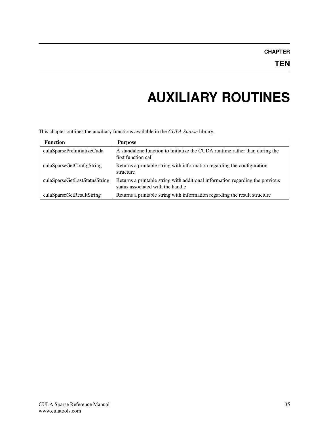# **AUXILIARY ROUTINES**

<span id="page-39-0"></span>This chapter outlines the auxiliary functions available in the *CULA Sparse* library.

| <b>Function</b>               | <b>Purpose</b>                                                                                                     |
|-------------------------------|--------------------------------------------------------------------------------------------------------------------|
| culaSparsePreinitializeCuda   | A standalone function to initialize the CUDA runtime rather than during the<br>first function call                 |
| culaSparseGetConfigString     | Returns a printable string with information regarding the configuration<br>structure                               |
| culaSparseGetLastStatusString | Returns a printable string with additional information regarding the previous<br>status associated with the handle |
| culaSparseGetResultString     | Returns a printable string with information regarding the result structure                                         |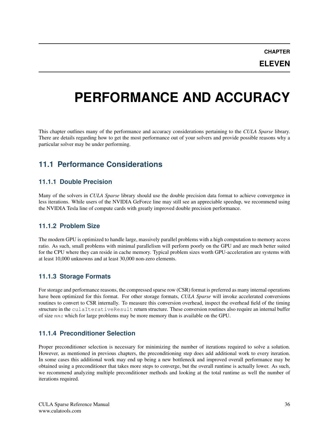**ELEVEN**

# <span id="page-40-0"></span>**PERFORMANCE AND ACCURACY**

This chapter outlines many of the performance and accuracy considerations pertaining to the *CULA Sparse* library. There are details regarding how to get the most performance out of your solvers and provide possible reasons why a particular solver may be under performing.

# <span id="page-40-1"></span>**11.1 Performance Considerations**

### **11.1.1 Double Precision**

Many of the solvers in *CULA Sparse* library should use the double precision data format to achieve convergence in less iterations. While users of the NVIDIA GeForce line may still see an appreciable speedup, we recommend using the NVIDIA Tesla line of compute cards with greatly improved double precision performance.

### **11.1.2 Problem Size**

The modern GPU is optimized to handle large, massively parallel problems with a high computation to memory access ratio. As such, small problems with minimal parallelism will perform poorly on the GPU and are much better suited for the CPU where they can reside in cache memory. Typical problem sizes worth GPU-acceleration are systems with at least 10,000 unknowns and at least 30,000 non-zero elements.

### **11.1.3 Storage Formats**

For storage and performance reasons, the compressed sparse row (CSR) format is preferred as many internal operations have been optimized for this format. For other storage formats, *CULA Sparse* will invoke accelerated conversions routines to convert to CSR internally. To measure this conversion overhead, inspect the overhead field of the timing structure in the culaIterativeResult return structure. These conversion routines also require an internal buffer of size nnz which for large problems may be more memory than is available on the GPU.

### **11.1.4 Preconditioner Selection**

Proper preconditioner selection is necessary for minimizing the number of iterations required to solve a solution. However, as mentioned in previous chapters, the preconditioning step does add additional work to every iteration. In some cases this additional work may end up being a new bottleneck and improved overall performance may be obtained using a preconditioner that takes more steps to converge, but the overall runtime is actually lower. As such, we recommend analyzing multiple preconditioner methods and looking at the total runtime as well the number of iterations required.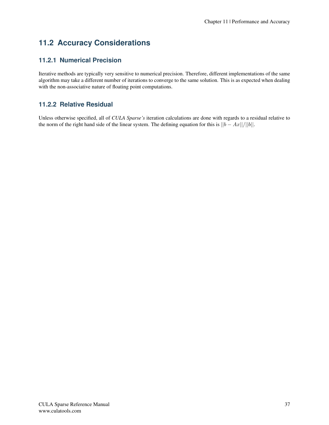# <span id="page-41-0"></span>**11.2 Accuracy Considerations**

### **11.2.1 Numerical Precision**

Iterative methods are typically very sensitive to numerical precision. Therefore, different implementations of the same algorithm may take a different number of iterations to converge to the same solution. This is as expected when dealing with the non-associative nature of floating point computations.

### **11.2.2 Relative Residual**

Unless otherwise specified, all of *CULA Sparse's* iteration calculations are done with regards to a residual relative to the norm of the right hand side of the linear system. The defining equation for this is  $||b - Ax||/||b||$ .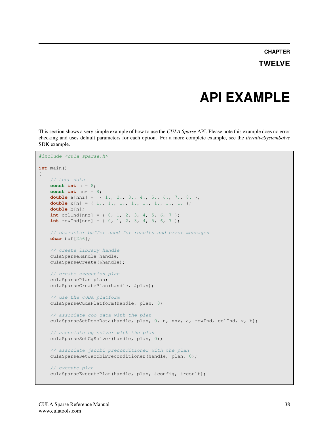# **API EXAMPLE**

<span id="page-42-0"></span>This section shows a very simple example of how to use the *CULA Sparse* API. Please note this example does no error checking and uses default parameters for each option. For a more complete example, see the *iterativeSystemSolve* SDK example.

```
#include <cula_sparse.h>
int main()
{
    // test data
   const int n = 8;
   const int nnz = 8;
   double a[nnz] = { 1., 2., 3., 4., 5., 6., 7., 8. };
   double x[n] = { 1., 1., 1., 1., 1., 1., 1., 1. };
   double b[n];
   int colInd[nnz] = { 0, 1, 2, 3, 4, 5, 6, 7 };
   int rowInd[nnz] = { 0, 1, 2, 3, 4, 5, 6, 7 };
   // character buffer used for results and error messages
   char buf[256];
   // create library handle
   culaSparseHandle handle;
   culaSparseCreate(&handle);
   // create execution plan
   culaSparsePlan plan;
   culaSparseCreatePlan(handle, &plan);
    // use the CUDA platform
   culaSparseCudaPlatform(handle, plan, 0)
    // associate coo data with the plan
   culaSparseSetDcooData(handle, plan, 0, n, nnz, a, rowInd, colInd, x, b);
   // associate cg solver with the plan
   culaSparseSetCgSolver(handle, plan, 0);
    // associate jacobi preconditioner with the plan
   culaSparseSetJacobiPreconditioner(handle, plan, 0);
    // execute plan
    culaSparseExecutePlan(handle, plan, &config, &result);
```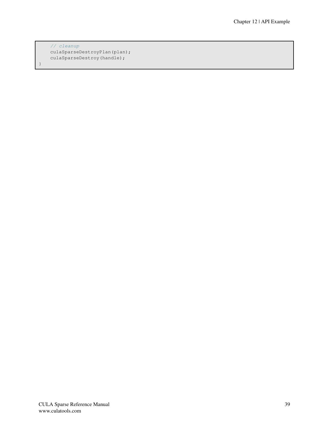// cleanup culaSparseDestroyPlan(plan); culaSparseDestroy(handle);

}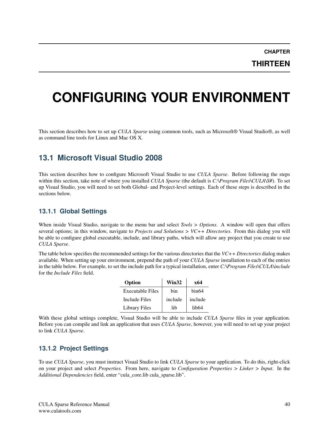**THIRTEEN**

# <span id="page-44-0"></span>**CONFIGURING YOUR ENVIRONMENT**

This section describes how to set up *CULA Sparse* using common tools, such as Microsoft® Visual Studio®, as well as command line tools for Linux and Mac OS X.

# <span id="page-44-1"></span>**13.1 Microsoft Visual Studio 2008**

This section describes how to configure Microsoft Visual Studio to use *CULA Sparse*. Before following the steps within this section, take note of where you installed *CULA Sparse* (the default is *C:\Program Files\CULA\S#*). To set up Visual Studio, you will need to set both Global- and Project-level settings. Each of these steps is described in the sections below.

### **13.1.1 Global Settings**

When inside Visual Studio, navigate to the menu bar and select *Tools > Options*. A window will open that offers several options; in this window, navigate to *Projects and Solutions > VC++ Directories*. From this dialog you will be able to configure global executable, include, and library paths, which will allow any project that you create to use *CULA Sparse*.

The table below specifies the recommended settings for the various directories that the *VC++ Directories* dialog makes available. When setting up your environment, prepend the path of your *CULA Sparse* installation to each of the entries in the table below. For example, to set the include path for a typical installation, enter *C:\Program Files\CULA\include* for the *Include Files* field.

| Option                  | Win32   | x64     |
|-------------------------|---------|---------|
| <b>Executable Files</b> | hin     | hin64   |
| Include Files           | include | include |
| <b>Library Files</b>    | lih     | lib64   |

With these global settings complete, Visual Studio will be able to include *CULA Sparse* files in your application. Before you can compile and link an application that uses *CULA Sparse*, however, you will need to set up your project to link *CULA Sparse*.

### **13.1.2 Project Settings**

To use *CULA Sparse*, you must instruct Visual Studio to link *CULA Sparse* to your application. To do this, right-click on your project and select *Properties*. From here, navigate to *Configuration Properties > Linker > Input*. In the *Additional Dependencies* field, enter "cula\_core.lib cula\_sparse.lib".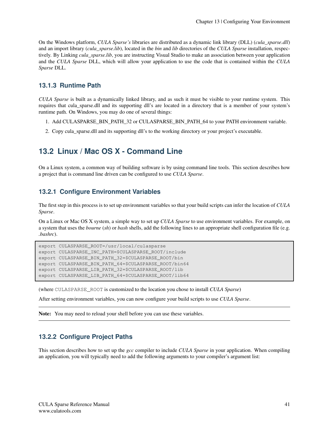On the Windows platform, *CULA Sparse's* libraries are distributed as a dynamic link library (DLL) (*cula\_sparse.dll*) and an import library (*cula\_sparse.lib*), located in the *bin* and *lib* directories of the *CULA Sparse* installation, respectively. By Linking *cula sparse.lib*, you are instructing Visual Studio to make an association between your application and the *CULA Sparse* DLL, which will allow your application to use the code that is contained within the *CULA Sparse* DLL.

### **13.1.3 Runtime Path**

*CULA Sparse* is built as a dynamically linked library, and as such it must be visible to your runtime system. This requires that cula\_sparse.dll and its supporting dll's are located in a directory that is a member of your system's runtime path. On Windows, you may do one of several things:

- 1. Add CULASPARSE\_BIN\_PATH\_32 or CULASPARSE\_BIN\_PATH\_64 to your PATH environment variable.
- 2. Copy cula\_sparse.dll and its supporting dll's to the working directory or your project's executable.

# <span id="page-45-0"></span>**13.2 Linux / Mac OS X - Command Line**

On a Linux system, a common way of building software is by using command line tools. This section describes how a project that is command line driven can be configured to use *CULA Sparse*.

### **13.2.1 Configure Environment Variables**

The first step in this process is to set up environment variables so that your build scripts can infer the location of *CULA Sparse*.

On a Linux or Mac OS X system, a simple way to set up *CULA Sparse* to use environment variables. For example, on a system that uses the *bourne* (*sh*) or *bash* shells, add the following lines to an appropriate shell configuration file (e.g. *.bashrc*).

```
export CULASPARSE_ROOT=/usr/local/culasparse
export CULASPARSE_INC_PATH=$CULASPARSE_ROOT/include
export CULASPARSE_BIN_PATH_32=$CULASPARSE_ROOT/bin
export CULASPARSE_BIN_PATH_64=$CULASPARSE_ROOT/bin64
export CULASPARSE_LIB_PATH_32=$CULASPARSE_ROOT/lib
export CULASPARSE_LIB_PATH_64=$CULASPARSE_ROOT/lib64
```
(where CULASPARSE\_ROOT is customized to the location you chose to install *CULA Sparse*)

After setting environment variables, you can now configure your build scripts to use *CULA Sparse*.

Note: You may need to reload your shell before you can use these variables.

### **13.2.2 Configure Project Paths**

This section describes how to set up the *gcc* compiler to include *CULA Sparse* in your application. When compiling an application, you will typically need to add the following arguments to your compiler's argument list: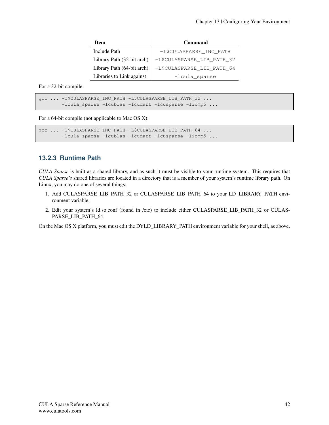| <b>Item</b>                | <b>Command</b>             |
|----------------------------|----------------------------|
| Include Path               | -I\$CULASPARSE_INC_PATH    |
| Library Path (32-bit arch) | -L\$CULASPARSE_LIB_PATH_32 |
| Library Path (64-bit arch) | -L\$CULASPARSE_LIB_PATH_64 |
| Libraries to Link against  | -lcula sparse              |

For a 32-bit compile:

```
gcc ... -I$CULASPARSE_INC_PATH -L$CULASPARSE_LIB_PATH_32 ...
        -lcula_sparse -lcublas -lcudart -lcusparse -liomp5 ...
```
For a 64-bit compile (not applicable to Mac OS X):

```
gcc ... -I$CULASPARSE_INC_PATH -L$CULASPARSE_LIB_PATH_64 ...
        -lcula_sparse -lcublas -lcudart -lcusparse -liomp5 ...
```
### **13.2.3 Runtime Path**

*CULA Sparse* is built as a shared library, and as such it must be visible to your runtime system. This requires that *CULA Sparse's* shared libraries are located in a directory that is a member of your system's runtime library path. On Linux, you may do one of several things:

- 1. Add CULASPARSE\_LIB\_PATH\_32 or CULASPARSE\_LIB\_PATH\_64 to your LD\_LIBRARY\_PATH environment variable.
- 2. Edit your system's ld.so.conf (found in /etc) to include either CULASPARSE\_LIB\_PATH\_32 or CULAS-PARSE\_LIB\_PATH\_64.

On the Mac OS X platform, you must edit the DYLD\_LIBRARY\_PATH environment variable for your shell, as above.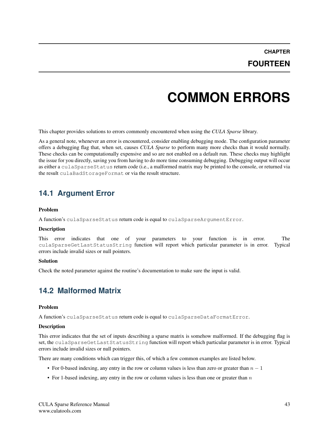**CHAPTER FOURTEEN**

# **COMMON ERRORS**

<span id="page-47-0"></span>This chapter provides solutions to errors commonly encountered when using the *CULA Sparse* library.

As a general note, whenever an error is encountered, consider enabling debugging mode. The configuration parameter offers a debugging flag that, when set, causes *CULA Sparse* to perform many more checks than it would normally. These checks can be computationally expensive and so are not enabled on a default run. These checks may highlight the issue for you directly, saving you from having to do more time consuming debugging. Debugging output will occur as either a culaSparseStatus return code (i.e., a malformed matrix may be printed to the console, or returned via the result culaBadStorageFormat or via the result structure.

### <span id="page-47-1"></span>**14.1 Argument Error**

#### Problem

A function's culaSparseStatus return code is equal to culaSparseArgumentError.

#### **Description**

This error indicates that one of your parameters to your function is in error. The culaSparseGetLastStatusString function will report which particular parameter is in error. Typical errors include invalid sizes or null pointers.

#### Solution

Check the noted parameter against the routine's documentation to make sure the input is valid.

# <span id="page-47-2"></span>**14.2 Malformed Matrix**

### Problem

A function's culaSparseStatus return code is equal to culaSparseDataFormatError.

#### Description

This error indicates that the set of inputs describing a sparse matrix is somehow malformed. If the debugging flag is set, the culaSparseGetLastStatusString function will report which particular parameter is in error. Typical errors include invalid sizes or null pointers.

There are many conditions which can trigger this, of which a few common examples are listed below.

- For 0-based indexing, any entry in the row or column values is less than zero or greater than  $n 1$
- For 1-based indexing, any entry in the row or column values is less than one or greater than  $n$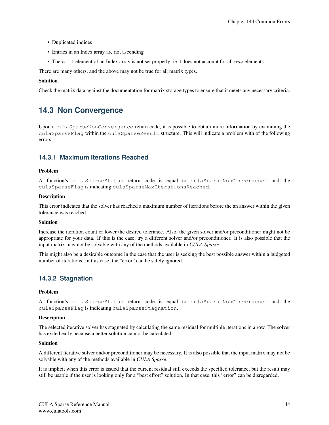- Duplicated indices
- Entries in an Index array are not ascending
- The  $n + 1$  element of an Index array is not set properly; ie it does not account for all  $nnz$  elements

There are many others, and the above may not be true for all matrix types.

### Solution

Check the matrix data against the documentation for matrix storage types to ensure that it meets any necessary criteria.

# <span id="page-48-0"></span>**14.3 Non Convergence**

Upon a culaSparseNonConvergence return code, it is possible to obtain more information by examining the culaSparseFlag within the culaSparseResult structure. This will indicate a problem with of the following errors:

### **14.3.1 Maximum Iterations Reached**

### Problem

A function's culaSparseStatus return code is equal to culaSparseNonConvergence and the culaSparseFlag is indicating culaSparseMaxIterationsReached.

### **Description**

This error indicates that the solver has reached a maximum number of iterations before the an answer within the given tolerance was reached.

#### Solution

Increase the iteration count or lower the desired tolerance. Also, the given solver and/or preconditioner might not be appropriate for your data. If this is the case, try a different solver and/or preconditioner. It is also possible that the input matrix may not be solvable with any of the methods available in *CULA Sparse*.

This might also be a desirable outcome in the case that the user is seeking the best possible answer within a budgeted number of iterations. In this case, the "error" can be safely ignored.

### **14.3.2 Stagnation**

### Problem

A function's culaSparseStatus return code is equal to culaSparseNonConvergence and the culaSparseFlag is indicating culaSparseStagnation.

#### **Description**

The selected iterative solver has stagnated by calculating the same residual for multiple iterations in a row. The solver has exited early because a better solution cannot be calculated.

### Solution

A different iterative solver and/or preconditioner may be necessary. It is also possible that the input matrix may not be solvable with any of the methods available in *CULA Sparse*.

It is implicit when this error is issued that the current residual still exceeds the specified tolerance, but the result may still be usable if the user is looking only for a "best effort" solution. In that case, this "error" can be disregarded.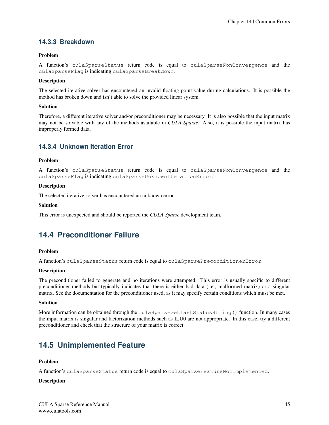### **14.3.3 Breakdown**

### Problem

```
A function's culaSparseStatus return code is equal to culaSparseNonConvergence and the
culaSparseFlag is indicating culaSparseBreakdown.
```
### **Description**

The selected iterative solver has encountered an invalid floating point value during calculations. It is possible the method has broken down and isn't able to solve the provided linear system.

### Solution

Therefore, a different iterative solver and/or preconditioner may be necessary. It is also possible that the input matrix may not be solvable with any of the methods available in *CULA Sparse*. Also, it is possible the input matrix has improperly formed data.

### **14.3.4 Unknown Iteration Error**

### Problem

A function's culaSparseStatus return code is equal to culaSparseNonConvergence and the culaSparseFlag is indicating culaSparseUnknownIterationError.

### **Description**

The selected iterative solver has encountered an unknown error.

### Solution

This error is unexpected and should be reported the *CULA Sparse* development team.

# <span id="page-49-0"></span>**14.4 Preconditioner Failure**

### Problem

A function's culaSparseStatus return code is equal to culaSparsePreconditionerError.

### Description

The preconditioner failed to generate and no iterations were attempted. This error is usually specific to different preconditioner methods but typically indicates that there is either bad data (i.e., malformed matrix) or a singular matrix. See the documentation for the preconditioner used, as it may specify certain conditions which must be met.

#### Solution

More information can be obtained through the culaSparseGetLastStatusString() function. In many cases the input matrix is singular and factorization methods such as ILU0 are not appropriate. In this case, try a different preconditioner and check that the structure of your matrix is correct.

# <span id="page-49-1"></span>**14.5 Unimplemented Feature**

### Problem

A function's culaSparseStatus return code is equal to culaSparseFeatureNotImplemented.

### Description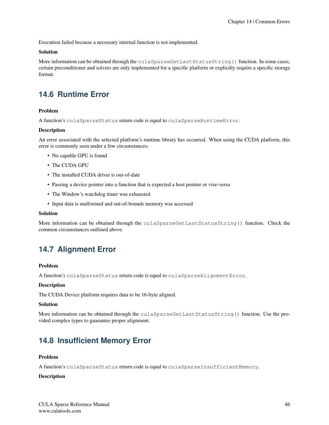Execution failed because a necessary internal function is not implemented.

### Solution

More information can be obtained through the culaSparseGetLastStatusString() function. In some cases, certain preconditioner and solvers are only implemented for a specific platform or explicitly require a specific storage format.

# <span id="page-50-0"></span>**14.6 Runtime Error**

### Problem

A function's culaSparseStatus return code is equal to culaSparseRuntimeError.

### Description

An error associated with the selected platform's runtime library has occurred. When using the CUDA platform, this error is commonly seen under a few circumstances:

- No capable GPU is found
- The CUDA GPU
- The installed CUDA driver is out-of-date
- Passing a device pointer into a function that is expected a host pointer or vise-versa
- The Window's watchdog timer was exhausted
- Input data is malformed and out-of-bounds memory was accessed

#### Solution

More information can be obtained through the culaSparseGetLastStatusString() function. Check the common circumstances outlined above.

# <span id="page-50-1"></span>**14.7 Alignment Error**

### Problem

A function's culaSparseStatus return code is equal to culaSparseAlignmentError.

#### Description

The CUDA Device platform requires data to be 16-byte aligned.

#### Solution

More information can be obtained through the culaSparseGetLastStatusString() function. Use the provided complex types to guarantee proper alignment.

# <span id="page-50-2"></span>**14.8 Insufficient Memory Error**

#### Problem

A function's culaSparseStatus return code is equal to culaSparseInsufficientMemory.

#### **Description**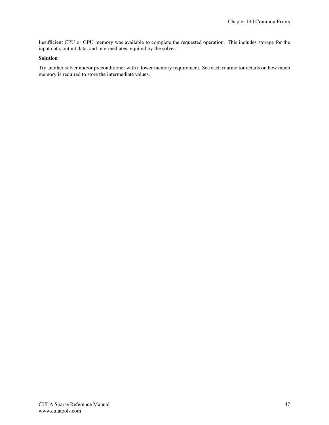Insufficient CPU or GPU memory was available to complete the requested operation. This includes storage for the input data, output data, and intermediates required by the solver.

### Solution

Try another solver and/or preconditioner with a lower memory requirement. See each routine for details on how much memory is required to store the intermediate values.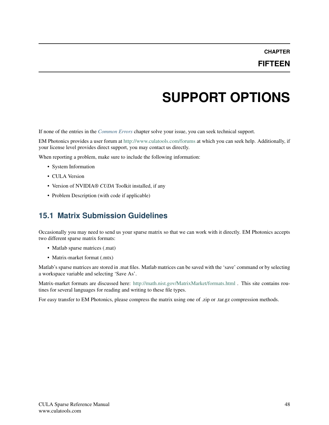# **SUPPORT OPTIONS**

<span id="page-52-0"></span>If none of the entries in the *[Common Errors](#page-47-0)* chapter solve your issue, you can seek technical support.

EM Photonics provides a user forum at <http://www.culatools.com/forums> at which you can seek help. Additionally, if your license level provides direct support, you may contact us directly.

When reporting a problem, make sure to include the following information:

- System Information
- CULA Version
- Version of NVIDIA® *CUDA* Toolkit installed, if any
- Problem Description (with code if applicable)

# <span id="page-52-1"></span>**15.1 Matrix Submission Guidelines**

Occasionally you may need to send us your sparse matrix so that we can work with it directly. EM Photonics accepts two different sparse matrix formats:

- Matlab sparse matrices (.mat)
- Matrix-market format (.mtx)

Matlab's sparse matrices are stored in .mat files. Matlab matrices can be saved with the 'save' command or by selecting a workspace variable and selecting 'Save As'.

Matrix-market formats are discussed here: <http://math.nist.gov/MatrixMarket/formats.html> . This site contains routines for several languages for reading and writing to these file types.

For easy transfer to EM Photonics, please compress the matrix using one of .zip or .tar.gz compression methods.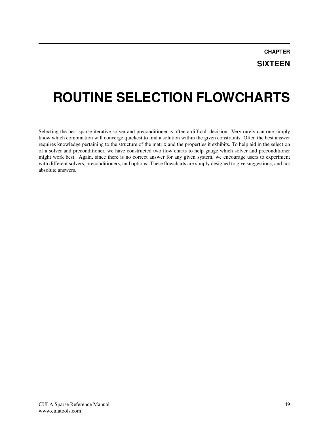# <span id="page-53-0"></span>**ROUTINE SELECTION FLOWCHARTS**

Selecting the best sparse iterative solver and preconditioner is often a difficult decision. Very rarely can one simply know which combination will converge quickest to find a solution within the given constraints. Often the best answer requires knowledge pertaining to the structure of the matrix and the properties it exhibits. To help aid in the selection of a solver and preconditioner, we have constructed two flow charts to help gauge which solver and preconditioner might work best. Again, since there is no correct answer for any given system, we encourage users to experiment with different solvers, preconditioners, and options. These flowcharts are simply designed to give suggestions, and not absolute answers.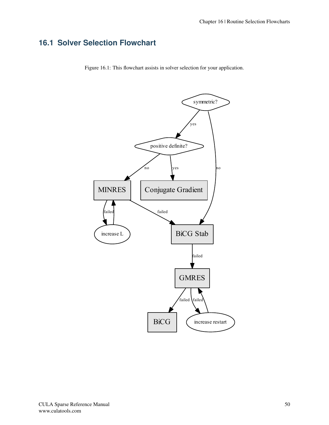# <span id="page-54-0"></span>**16.1 Solver Selection Flowchart**

Figure 16.1: This flowchart assists in solver selection for your application.

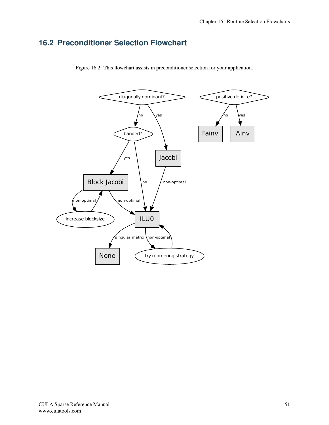# <span id="page-55-0"></span>**16.2 Preconditioner Selection Flowchart**



Figure 16.2: This flowchart assists in preconditioner selection for your application.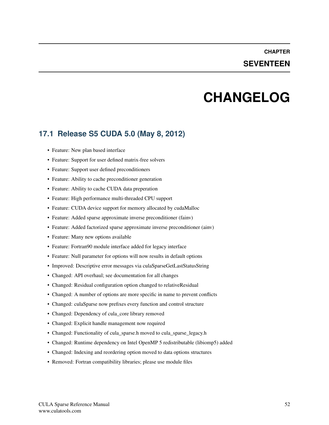### **CHAPTER**

### **SEVENTEEN**

# **CHANGELOG**

### <span id="page-56-1"></span><span id="page-56-0"></span>**17.1 Release S5 CUDA 5.0 (May 8, 2012)**

- Feature: New plan based interface
- Feature: Support for user defined matrix-free solvers
- Feature: Support user defined preconditioners
- Feature: Ability to cache preconditioner generation
- Feature: Ability to cache CUDA data preperation
- Feature: High performance multi-threaded CPU support
- Feature: CUDA device support for memory allocated by cudaMalloc
- Feature: Added sparse approximate inverse preconditioner (fainv)
- Feature: Added factorized sparse approximate inverse preconditioner (ainv)
- Feature: Many new options available
- Feature: Fortran90 module interface added for legacy interface
- Feature: Null parameter for options will now results in default options
- Improved: Descriptive error messages via culaSparseGetLastStatusString
- Changed: API overhaul; see documentation for all changes
- Changed: Residual configuration option changed to relativeResidual
- Changed: A number of options are more specific in name to prevent conflicts
- Changed: culaSparse now prefixes every function and control structure
- Changed: Dependency of cula\_core library removed
- Changed: Explicit handle management now required
- Changed: Functionality of cula\_sparse.h moved to cula\_sparse\_legacy.h
- Changed: Runtime dependency on Intel OpenMP 5 redistributable (libiomp5) added
- Changed: Indexing and reordering option moved to data options structures
- Removed: Fortran compatibility libraries; please use module files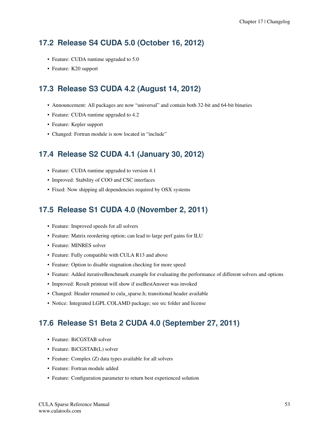# <span id="page-57-0"></span>**17.2 Release S4 CUDA 5.0 (October 16, 2012)**

- Feature: CUDA runtime upgraded to 5.0
- Feature: K20 support

# <span id="page-57-1"></span>**17.3 Release S3 CUDA 4.2 (August 14, 2012)**

- Announcement: All packages are now "universal" and contain both 32-bit and 64-bit binaries
- Feature: CUDA runtime upgraded to 4.2
- Feature: Kepler support
- Changed: Fortran module is now located in "include"

# <span id="page-57-2"></span>**17.4 Release S2 CUDA 4.1 (January 30, 2012)**

- Feature: CUDA runtime upgraded to version 4.1
- Improved: Stability of COO and CSC interfaces
- Fixed: Now shipping all dependencies required by OSX systems

# <span id="page-57-3"></span>**17.5 Release S1 CUDA 4.0 (November 2, 2011)**

- Feature: Improved speeds for all solvers
- Feature: Matrix reordering option; can lead to large perf gains for ILU
- Feature: MINRES solver
- Feature: Fully compatible with CULA R13 and above
- Feature: Option to disable stagnation checking for more speed
- Feature: Added iterativeBenchmark example for evaluating the performance of different solvers and options
- Improved: Result printout will show if useBestAnswer was invoked
- Changed: Header renamed to cula\_sparse.h; transitional header available
- Notice: Integrated LGPL COLAMD package; see src folder and license

# <span id="page-57-4"></span>**17.6 Release S1 Beta 2 CUDA 4.0 (September 27, 2011)**

- Feature: BiCGSTAB solver
- Feature: BiCGSTAB(L) solver
- Feature: Complex (Z) data types available for all solvers
- Feature: Fortran module added
- Feature: Configuration parameter to return best experienced solution